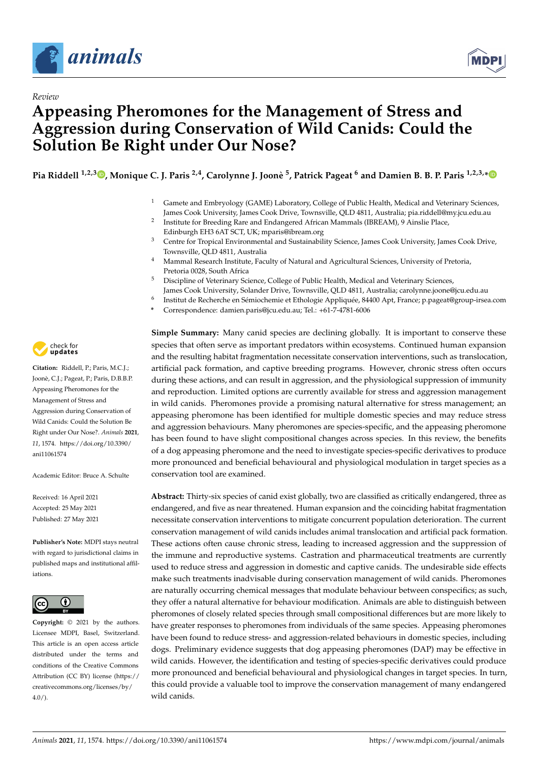

*Review*



# **Appeasing Pheromones for the Management of Stress and Aggression during Conservation of Wild Canids: Could the Solution Be Right under Our Nose?**

**Pia Riddell 1,2,3 [,](https://orcid.org/0000-0002-6733-5767) Monique C. J. Paris 2,4, Carolynne J. Joonè 5 , Patrick Pageat <sup>6</sup> and Damien B. B. P. Paris 1,2,3,[\\*](https://orcid.org/0000-0001-7329-8985)**

- <sup>1</sup> Gamete and Embryology (GAME) Laboratory, College of Public Health, Medical and Veterinary Sciences, James Cook University, James Cook Drive, Townsville, QLD 4811, Australia; pia.riddell@my.jcu.edu.au
- $\overline{2}$ Institute for Breeding Rare and Endangered African Mammals (IBREAM), 9 Ainslie Place, Edinburgh EH3 6AT SCT, UK; mparis@ibream.org
- <sup>3</sup> Centre for Tropical Environmental and Sustainability Science, James Cook University, James Cook Drive, Townsville, QLD 4811, Australia
- <sup>4</sup> Mammal Research Institute, Faculty of Natural and Agricultural Sciences, University of Pretoria, Pretoria 0028, South Africa
- <sup>5</sup> Discipline of Veterinary Science, College of Public Health, Medical and Veterinary Sciences,
- James Cook University, Solander Drive, Townsville, QLD 4811, Australia; carolynne.joone@jcu.edu.au
- 6 Institut de Recherche en Sémiochemie et Ethologie Appliquée, 84400 Apt, France; p.pageat@group-irsea.com
- **\*** Correspondence: damien.paris@jcu.edu.au; Tel.: +61-7-4781-6006

**Simple Summary:** Many canid species are declining globally. It is important to conserve these species that often serve as important predators within ecosystems. Continued human expansion and the resulting habitat fragmentation necessitate conservation interventions, such as translocation, artificial pack formation, and captive breeding programs. However, chronic stress often occurs during these actions, and can result in aggression, and the physiological suppression of immunity and reproduction. Limited options are currently available for stress and aggression management in wild canids. Pheromones provide a promising natural alternative for stress management; an appeasing pheromone has been identified for multiple domestic species and may reduce stress and aggression behaviours. Many pheromones are species-specific, and the appeasing pheromone has been found to have slight compositional changes across species. In this review, the benefits of a dog appeasing pheromone and the need to investigate species-specific derivatives to produce more pronounced and beneficial behavioural and physiological modulation in target species as a conservation tool are examined.

**Abstract:** Thirty-six species of canid exist globally, two are classified as critically endangered, three as endangered, and five as near threatened. Human expansion and the coinciding habitat fragmentation necessitate conservation interventions to mitigate concurrent population deterioration. The current conservation management of wild canids includes animal translocation and artificial pack formation. These actions often cause chronic stress, leading to increased aggression and the suppression of the immune and reproductive systems. Castration and pharmaceutical treatments are currently used to reduce stress and aggression in domestic and captive canids. The undesirable side effects make such treatments inadvisable during conservation management of wild canids. Pheromones are naturally occurring chemical messages that modulate behaviour between conspecifics; as such, they offer a natural alternative for behaviour modification. Animals are able to distinguish between pheromones of closely related species through small compositional differences but are more likely to have greater responses to pheromones from individuals of the same species. Appeasing pheromones have been found to reduce stress- and aggression-related behaviours in domestic species, including dogs. Preliminary evidence suggests that dog appeasing pheromones (DAP) may be effective in wild canids. However, the identification and testing of species-specific derivatives could produce more pronounced and beneficial behavioural and physiological changes in target species. In turn, this could provide a valuable tool to improve the conservation management of many endangered wild canids.



**Citation:** Riddell, P.; Paris, M.C.J.; Joonè, C.J.; Pageat, P.; Paris, D.B.B.P. Appeasing Pheromones for the Management of Stress and Aggression during Conservation of Wild Canids: Could the Solution Be Right under Our Nose?. *Animals* **2021**, *11*, 1574. [https://doi.org/10.3390/](https://doi.org/10.3390/ani11061574) [ani11061574](https://doi.org/10.3390/ani11061574)

Academic Editor: Bruce A. Schulte

Received: 16 April 2021 Accepted: 25 May 2021 Published: 27 May 2021

**Publisher's Note:** MDPI stays neutral with regard to jurisdictional claims in published maps and institutional affiliations.



**Copyright:** © 2021 by the authors. Licensee MDPI, Basel, Switzerland. This article is an open access article distributed under the terms and conditions of the Creative Commons Attribution (CC BY) license (https:/[/](https://creativecommons.org/licenses/by/4.0/) [creativecommons.org/licenses/by/](https://creativecommons.org/licenses/by/4.0/)  $4.0/$ ).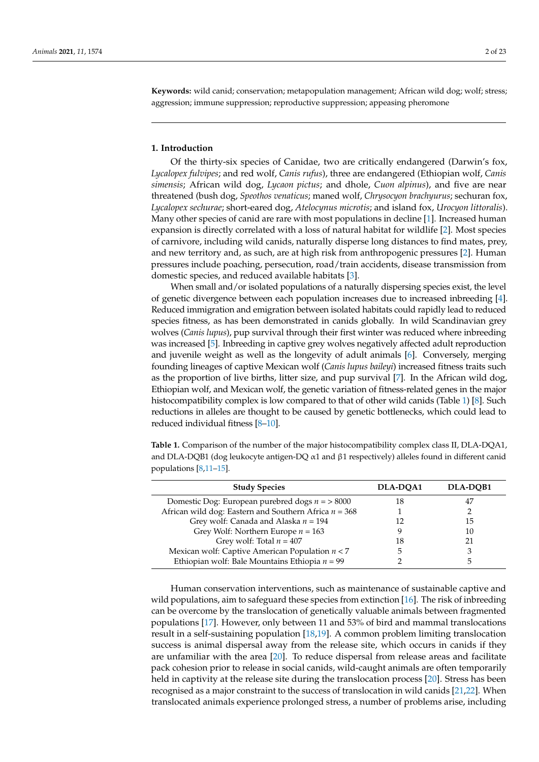**Keywords:** wild canid; conservation; metapopulation management; African wild dog; wolf; stress; aggression; immune suppression; reproductive suppression; appeasing pheromone

## **1. Introduction**

Of the thirty-six species of Canidae, two are critically endangered (Darwin's fox, *Lycalopex fulvipes*; and red wolf, *Canis rufus*), three are endangered (Ethiopian wolf, *Canis simensis*; African wild dog, *Lycaon pictus*; and dhole, *Cuon alpinus*), and five are near threatened (bush dog, *Speothos venaticus*; maned wolf, *Chrysocyon brachyurus*; sechuran fox, *Lycalopex sechurae*; short-eared dog, *Atelocynus microtis*; and island fox, *Urocyon littoralis*). Many other species of canid are rare with most populations in decline [\[1\]](#page-14-0). Increased human expansion is directly correlated with a loss of natural habitat for wildlife [\[2\]](#page-14-1). Most species of carnivore, including wild canids, naturally disperse long distances to find mates, prey, and new territory and, as such, are at high risk from anthropogenic pressures [\[2\]](#page-14-1). Human pressures include poaching, persecution, road/train accidents, disease transmission from domestic species, and reduced available habitats [\[3\]](#page-14-2).

When small and/or isolated populations of a naturally dispersing species exist, the level of genetic divergence between each population increases due to increased inbreeding [\[4\]](#page-14-3). Reduced immigration and emigration between isolated habitats could rapidly lead to reduced species fitness, as has been demonstrated in canids globally. In wild Scandinavian grey wolves (*Canis lupus*), pup survival through their first winter was reduced where inbreeding was increased [\[5\]](#page-14-4). Inbreeding in captive grey wolves negatively affected adult reproduction and juvenile weight as well as the longevity of adult animals [\[6\]](#page-15-0). Conversely, merging founding lineages of captive Mexican wolf (*Canis lupus baileyi*) increased fitness traits such as the proportion of live births, litter size, and pup survival [\[7\]](#page-15-1). In the African wild dog, Ethiopian wolf, and Mexican wolf, the genetic variation of fitness-related genes in the major histocompatibility complex is low compared to that of other wild canids (Table [1\)](#page-1-0) [\[8\]](#page-15-2). Such reductions in alleles are thought to be caused by genetic bottlenecks, which could lead to reduced individual fitness [\[8–](#page-15-2)[10\]](#page-15-3).

<span id="page-1-0"></span>**Table 1.** Comparison of the number of the major histocompatibility complex class II, DLA-DQA1, and DLA-DQB1 (dog leukocyte antigen-DQ  $\alpha$ 1 and  $\beta$ 1 respectively) alleles found in different canid populations [\[8,](#page-15-2)[11–](#page-15-4)[15\]](#page-15-5).

| <b>Study Species</b>                                    | DLA-DOA1 | DLA-DOB1 |  |
|---------------------------------------------------------|----------|----------|--|
| Domestic Dog: European purebred dogs $n = >8000$        | 18       |          |  |
| African wild dog: Eastern and Southern Africa $n = 368$ |          |          |  |
| Grey wolf: Canada and Alaska $n = 194$                  | 12       | 15       |  |
| Grey Wolf: Northern Europe $n = 163$                    |          | 10       |  |
| Grey wolf: Total $n = 407$                              | 18       |          |  |
| Mexican wolf: Captive American Population $n < 7$       | h        |          |  |
| Ethiopian wolf: Bale Mountains Ethiopia $n = 99$        |          |          |  |

Human conservation interventions, such as maintenance of sustainable captive and wild populations, aim to safeguard these species from extinction  $[16]$ . The risk of inbreeding can be overcome by the translocation of genetically valuable animals between fragmented populations [\[17\]](#page-15-7). However, only between 11 and 53% of bird and mammal translocations result in a self-sustaining population [\[18](#page-15-8)[,19\]](#page-15-9). A common problem limiting translocation success is animal dispersal away from the release site, which occurs in canids if they are unfamiliar with the area [\[20\]](#page-15-10). To reduce dispersal from release areas and facilitate pack cohesion prior to release in social canids, wild-caught animals are often temporarily held in captivity at the release site during the translocation process [\[20\]](#page-15-10). Stress has been recognised as a major constraint to the success of translocation in wild canids [\[21](#page-15-11)[,22\]](#page-15-12). When translocated animals experience prolonged stress, a number of problems arise, including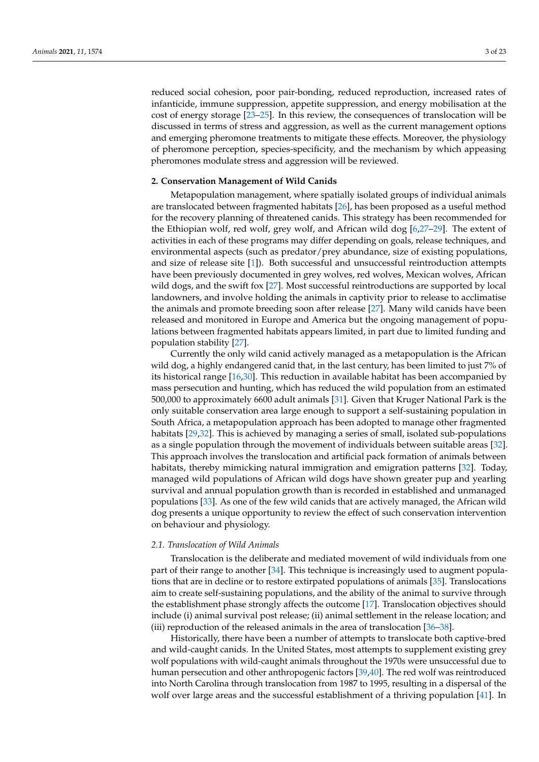reduced social cohesion, poor pair-bonding, reduced reproduction, increased rates of infanticide, immune suppression, appetite suppression, and energy mobilisation at the cost of energy storage [\[23](#page-15-13)[–25\]](#page-15-14). In this review, the consequences of translocation will be discussed in terms of stress and aggression, as well as the current management options and emerging pheromone treatments to mitigate these effects. Moreover, the physiology of pheromone perception, species-specificity, and the mechanism by which appeasing pheromones modulate stress and aggression will be reviewed.

#### **2. Conservation Management of Wild Canids**

Metapopulation management, where spatially isolated groups of individual animals are translocated between fragmented habitats [\[26\]](#page-15-15), has been proposed as a useful method for the recovery planning of threatened canids. This strategy has been recommended for the Ethiopian wolf, red wolf, grey wolf, and African wild dog [\[6,](#page-15-0)[27–](#page-15-16)[29\]](#page-15-17). The extent of activities in each of these programs may differ depending on goals, release techniques, and environmental aspects (such as predator/prey abundance, size of existing populations, and size of release site [\[1\]](#page-14-0)). Both successful and unsuccessful reintroduction attempts have been previously documented in grey wolves, red wolves, Mexican wolves, African wild dogs, and the swift fox [\[27\]](#page-15-16). Most successful reintroductions are supported by local landowners, and involve holding the animals in captivity prior to release to acclimatise the animals and promote breeding soon after release [\[27\]](#page-15-16). Many wild canids have been released and monitored in Europe and America but the ongoing management of populations between fragmented habitats appears limited, in part due to limited funding and population stability [\[27\]](#page-15-16).

Currently the only wild canid actively managed as a metapopulation is the African wild dog, a highly endangered canid that, in the last century, has been limited to just 7% of its historical range [\[16,](#page-15-6)[30\]](#page-15-18). This reduction in available habitat has been accompanied by mass persecution and hunting, which has reduced the wild population from an estimated 500,000 to approximately 6600 adult animals [\[31\]](#page-15-19). Given that Kruger National Park is the only suitable conservation area large enough to support a self-sustaining population in South Africa, a metapopulation approach has been adopted to manage other fragmented habitats [\[29,](#page-15-17)[32\]](#page-15-20). This is achieved by managing a series of small, isolated sub-populations as a single population through the movement of individuals between suitable areas [\[32\]](#page-15-20). This approach involves the translocation and artificial pack formation of animals between habitats, thereby mimicking natural immigration and emigration patterns [\[32\]](#page-15-20). Today, managed wild populations of African wild dogs have shown greater pup and yearling survival and annual population growth than is recorded in established and unmanaged populations [\[33\]](#page-16-0). As one of the few wild canids that are actively managed, the African wild dog presents a unique opportunity to review the effect of such conservation intervention on behaviour and physiology.

#### *2.1. Translocation of Wild Animals*

Translocation is the deliberate and mediated movement of wild individuals from one part of their range to another [\[34\]](#page-16-1). This technique is increasingly used to augment populations that are in decline or to restore extirpated populations of animals [\[35\]](#page-16-2). Translocations aim to create self-sustaining populations, and the ability of the animal to survive through the establishment phase strongly affects the outcome [\[17\]](#page-15-7). Translocation objectives should include (i) animal survival post release; (ii) animal settlement in the release location; and (iii) reproduction of the released animals in the area of translocation [\[36](#page-16-3)[–38\]](#page-16-4).

Historically, there have been a number of attempts to translocate both captive-bred and wild-caught canids. In the United States, most attempts to supplement existing grey wolf populations with wild-caught animals throughout the 1970s were unsuccessful due to human persecution and other anthropogenic factors [\[39](#page-16-5)[,40\]](#page-16-6). The red wolf was reintroduced into North Carolina through translocation from 1987 to 1995, resulting in a dispersal of the wolf over large areas and the successful establishment of a thriving population [\[41\]](#page-16-7). In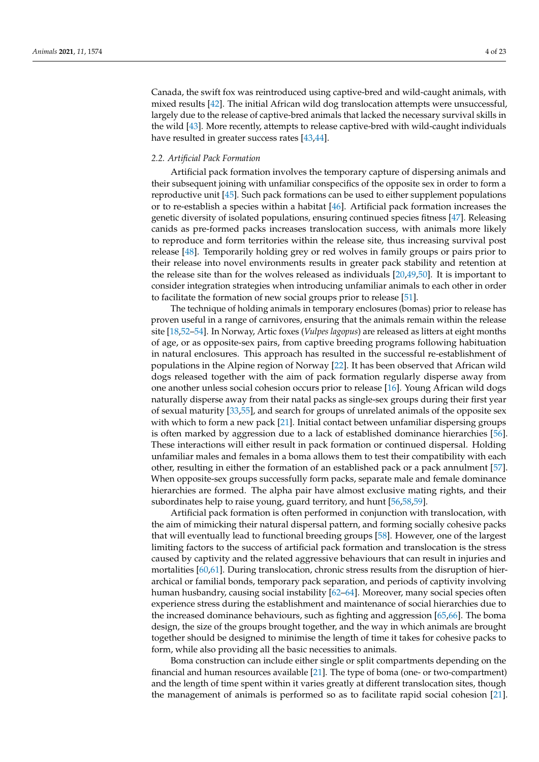Canada, the swift fox was reintroduced using captive-bred and wild-caught animals, with mixed results [\[42\]](#page-16-8). The initial African wild dog translocation attempts were unsuccessful, largely due to the release of captive-bred animals that lacked the necessary survival skills in the wild [\[43\]](#page-16-9). More recently, attempts to release captive-bred with wild-caught individuals have resulted in greater success rates [\[43,](#page-16-9)[44\]](#page-16-10).

### *2.2. Artificial Pack Formation*

Artificial pack formation involves the temporary capture of dispersing animals and their subsequent joining with unfamiliar conspecifics of the opposite sex in order to form a reproductive unit [\[45\]](#page-16-11). Such pack formations can be used to either supplement populations or to re-establish a species within a habitat [\[46\]](#page-16-12). Artificial pack formation increases the genetic diversity of isolated populations, ensuring continued species fitness [\[47\]](#page-16-13). Releasing canids as pre-formed packs increases translocation success, with animals more likely to reproduce and form territories within the release site, thus increasing survival post release [\[48\]](#page-16-14). Temporarily holding grey or red wolves in family groups or pairs prior to their release into novel environments results in greater pack stability and retention at the release site than for the wolves released as individuals [\[20,](#page-15-10)[49,](#page-16-15)[50\]](#page-16-16). It is important to consider integration strategies when introducing unfamiliar animals to each other in order to facilitate the formation of new social groups prior to release [\[51\]](#page-16-17).

The technique of holding animals in temporary enclosures (bomas) prior to release has proven useful in a range of carnivores, ensuring that the animals remain within the release site [\[18,](#page-15-8)[52–](#page-16-18)[54\]](#page-16-19). In Norway, Artic foxes (*Vulpes lagopus*) are released as litters at eight months of age, or as opposite-sex pairs, from captive breeding programs following habituation in natural enclosures. This approach has resulted in the successful re-establishment of populations in the Alpine region of Norway [\[22\]](#page-15-12). It has been observed that African wild dogs released together with the aim of pack formation regularly disperse away from one another unless social cohesion occurs prior to release [\[16\]](#page-15-6). Young African wild dogs naturally disperse away from their natal packs as single-sex groups during their first year of sexual maturity [\[33](#page-16-0)[,55\]](#page-16-20), and search for groups of unrelated animals of the opposite sex with which to form a new pack [\[21\]](#page-15-11). Initial contact between unfamiliar dispersing groups is often marked by aggression due to a lack of established dominance hierarchies [\[56\]](#page-16-21). These interactions will either result in pack formation or continued dispersal. Holding unfamiliar males and females in a boma allows them to test their compatibility with each other, resulting in either the formation of an established pack or a pack annulment [\[57\]](#page-16-22). When opposite-sex groups successfully form packs, separate male and female dominance hierarchies are formed. The alpha pair have almost exclusive mating rights, and their subordinates help to raise young, guard territory, and hunt [\[56,](#page-16-21)[58,](#page-16-23)[59\]](#page-16-24).

Artificial pack formation is often performed in conjunction with translocation, with the aim of mimicking their natural dispersal pattern, and forming socially cohesive packs that will eventually lead to functional breeding groups [\[58\]](#page-16-23). However, one of the largest limiting factors to the success of artificial pack formation and translocation is the stress caused by captivity and the related aggressive behaviours that can result in injuries and mortalities [\[60,](#page-16-25)[61\]](#page-16-26). During translocation, chronic stress results from the disruption of hierarchical or familial bonds, temporary pack separation, and periods of captivity involving human husbandry, causing social instability [\[62–](#page-16-27)[64\]](#page-17-0). Moreover, many social species often experience stress during the establishment and maintenance of social hierarchies due to the increased dominance behaviours, such as fighting and aggression [\[65,](#page-17-1)[66\]](#page-17-2). The boma design, the size of the groups brought together, and the way in which animals are brought together should be designed to minimise the length of time it takes for cohesive packs to form, while also providing all the basic necessities to animals.

Boma construction can include either single or split compartments depending on the financial and human resources available [\[21\]](#page-15-11). The type of boma (one- or two-compartment) and the length of time spent within it varies greatly at different translocation sites, though the management of animals is performed so as to facilitate rapid social cohesion [\[21\]](#page-15-11).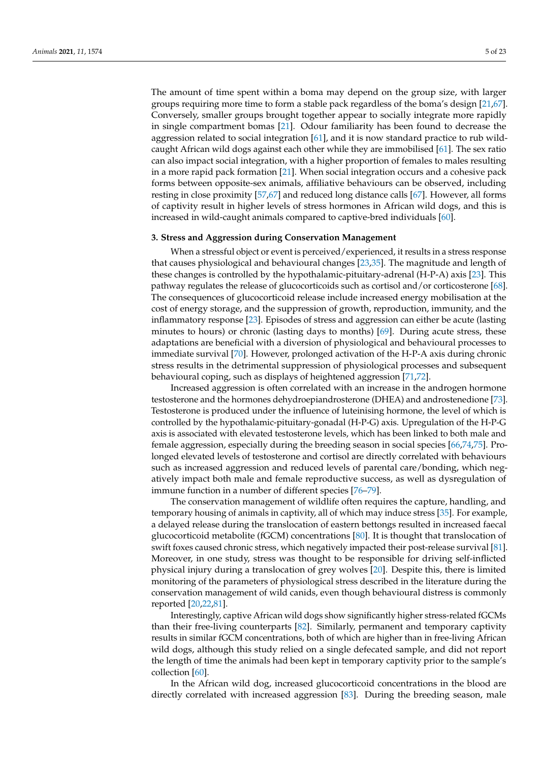The amount of time spent within a boma may depend on the group size, with larger groups requiring more time to form a stable pack regardless of the boma's design [\[21,](#page-15-11)[67\]](#page-17-3). Conversely, smaller groups brought together appear to socially integrate more rapidly in single compartment bomas [\[21\]](#page-15-11). Odour familiarity has been found to decrease the aggression related to social integration [\[61\]](#page-16-26), and it is now standard practice to rub wildcaught African wild dogs against each other while they are immobilised [\[61\]](#page-16-26). The sex ratio can also impact social integration, with a higher proportion of females to males resulting in a more rapid pack formation [\[21\]](#page-15-11). When social integration occurs and a cohesive pack forms between opposite-sex animals, affiliative behaviours can be observed, including resting in close proximity [\[57,](#page-16-22)[67\]](#page-17-3) and reduced long distance calls [\[67\]](#page-17-3). However, all forms of captivity result in higher levels of stress hormones in African wild dogs, and this is increased in wild-caught animals compared to captive-bred individuals [\[60\]](#page-16-25).

## **3. Stress and Aggression during Conservation Management**

When a stressful object or event is perceived/experienced, it results in a stress response that causes physiological and behavioural changes [\[23,](#page-15-13)[35\]](#page-16-2). The magnitude and length of these changes is controlled by the hypothalamic-pituitary-adrenal (H-P-A) axis [\[23\]](#page-15-13). This pathway regulates the release of glucocorticoids such as cortisol and/or corticosterone [\[68\]](#page-17-4). The consequences of glucocorticoid release include increased energy mobilisation at the cost of energy storage, and the suppression of growth, reproduction, immunity, and the inflammatory response [\[23\]](#page-15-13). Episodes of stress and aggression can either be acute (lasting minutes to hours) or chronic (lasting days to months) [\[69\]](#page-17-5). During acute stress, these adaptations are beneficial with a diversion of physiological and behavioural processes to immediate survival [\[70\]](#page-17-6). However, prolonged activation of the H-P-A axis during chronic stress results in the detrimental suppression of physiological processes and subsequent behavioural coping, such as displays of heightened aggression [\[71](#page-17-7)[,72\]](#page-17-8).

Increased aggression is often correlated with an increase in the androgen hormone testosterone and the hormones dehydroepiandrosterone (DHEA) and androstenedione [\[73\]](#page-17-9). Testosterone is produced under the influence of luteinising hormone, the level of which is controlled by the hypothalamic-pituitary-gonadal (H-P-G) axis. Upregulation of the H-P-G axis is associated with elevated testosterone levels, which has been linked to both male and female aggression, especially during the breeding season in social species [\[66](#page-17-2)[,74](#page-17-10)[,75\]](#page-17-11). Prolonged elevated levels of testosterone and cortisol are directly correlated with behaviours such as increased aggression and reduced levels of parental care/bonding, which negatively impact both male and female reproductive success, as well as dysregulation of immune function in a number of different species [\[76–](#page-17-12)[79\]](#page-17-13).

The conservation management of wildlife often requires the capture, handling, and temporary housing of animals in captivity, all of which may induce stress [\[35\]](#page-16-2). For example, a delayed release during the translocation of eastern bettongs resulted in increased faecal glucocorticoid metabolite (fGCM) concentrations [\[80\]](#page-17-14). It is thought that translocation of swift foxes caused chronic stress, which negatively impacted their post-release survival [\[81\]](#page-17-15). Moreover, in one study, stress was thought to be responsible for driving self-inflicted physical injury during a translocation of grey wolves [\[20\]](#page-15-10). Despite this, there is limited monitoring of the parameters of physiological stress described in the literature during the conservation management of wild canids, even though behavioural distress is commonly reported [\[20,](#page-15-10)[22](#page-15-12)[,81\]](#page-17-15).

Interestingly, captive African wild dogs show significantly higher stress-related fGCMs than their free-living counterparts [\[82\]](#page-17-16). Similarly, permanent and temporary captivity results in similar fGCM concentrations, both of which are higher than in free-living African wild dogs, although this study relied on a single defecated sample, and did not report the length of time the animals had been kept in temporary captivity prior to the sample's collection [\[60\]](#page-16-25).

In the African wild dog, increased glucocorticoid concentrations in the blood are directly correlated with increased aggression [\[83\]](#page-17-17). During the breeding season, male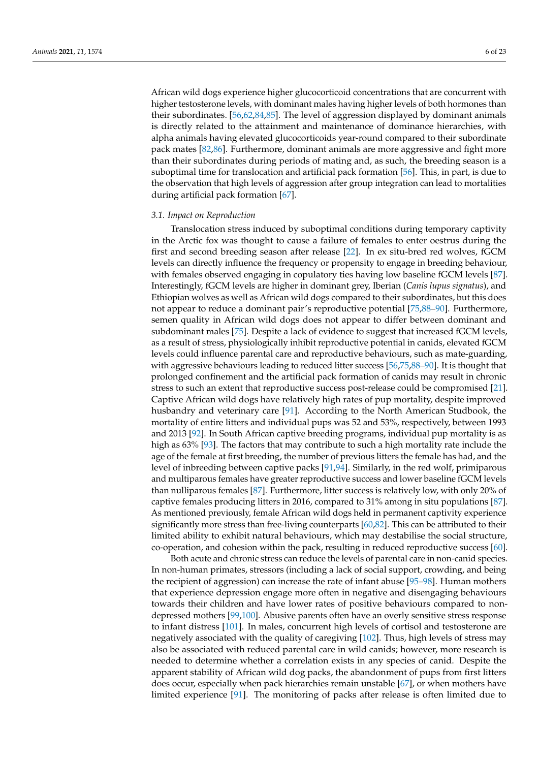African wild dogs experience higher glucocorticoid concentrations that are concurrent with higher testosterone levels, with dominant males having higher levels of both hormones than their subordinates. [\[56,](#page-16-21)[62,](#page-16-27)[84,](#page-17-18)[85\]](#page-17-19). The level of aggression displayed by dominant animals is directly related to the attainment and maintenance of dominance hierarchies, with alpha animals having elevated glucocorticoids year-round compared to their subordinate pack mates [\[82,](#page-17-16)[86\]](#page-17-20). Furthermore, dominant animals are more aggressive and fight more than their subordinates during periods of mating and, as such, the breeding season is a suboptimal time for translocation and artificial pack formation [\[56\]](#page-16-21). This, in part, is due to the observation that high levels of aggression after group integration can lead to mortalities during artificial pack formation [\[67\]](#page-17-3).

#### *3.1. Impact on Reproduction*

Translocation stress induced by suboptimal conditions during temporary captivity in the Arctic fox was thought to cause a failure of females to enter oestrus during the first and second breeding season after release [\[22\]](#page-15-12). In ex situ-bred red wolves, fGCM levels can directly influence the frequency or propensity to engage in breeding behaviour, with females observed engaging in copulatory ties having low baseline fGCM levels [\[87\]](#page-17-21). Interestingly, fGCM levels are higher in dominant grey, Iberian (*Canis lupus signatus*), and Ethiopian wolves as well as African wild dogs compared to their subordinates, but this does not appear to reduce a dominant pair's reproductive potential [\[75,](#page-17-11)[88](#page-17-22)[–90\]](#page-17-23). Furthermore, semen quality in African wild dogs does not appear to differ between dominant and subdominant males [\[75\]](#page-17-11). Despite a lack of evidence to suggest that increased fGCM levels, as a result of stress, physiologically inhibit reproductive potential in canids, elevated fGCM levels could influence parental care and reproductive behaviours, such as mate-guarding, with aggressive behaviours leading to reduced litter success [\[56,](#page-16-21)[75](#page-17-11)[,88](#page-17-22)[–90\]](#page-17-23). It is thought that prolonged confinement and the artificial pack formation of canids may result in chronic stress to such an extent that reproductive success post-release could be compromised [\[21\]](#page-15-11). Captive African wild dogs have relatively high rates of pup mortality, despite improved husbandry and veterinary care [\[91\]](#page-17-24). According to the North American Studbook, the mortality of entire litters and individual pups was 52 and 53%, respectively, between 1993 and 2013 [\[92\]](#page-17-25). In South African captive breeding programs, individual pup mortality is as high as 63% [\[93\]](#page-18-0). The factors that may contribute to such a high mortality rate include the age of the female at first breeding, the number of previous litters the female has had, and the level of inbreeding between captive packs [\[91](#page-17-24)[,94\]](#page-18-1). Similarly, in the red wolf, primiparous and multiparous females have greater reproductive success and lower baseline fGCM levels than nulliparous females [\[87\]](#page-17-21). Furthermore, litter success is relatively low, with only 20% of captive females producing litters in 2016, compared to 31% among in situ populations [\[87\]](#page-17-21). As mentioned previously, female African wild dogs held in permanent captivity experience significantly more stress than free-living counterparts [\[60](#page-16-25)[,82\]](#page-17-16). This can be attributed to their limited ability to exhibit natural behaviours, which may destabilise the social structure, co-operation, and cohesion within the pack, resulting in reduced reproductive success [\[60\]](#page-16-25).

Both acute and chronic stress can reduce the levels of parental care in non-canid species. In non-human primates, stressors (including a lack of social support, crowding, and being the recipient of aggression) can increase the rate of infant abuse [\[95–](#page-18-2)[98\]](#page-18-3). Human mothers that experience depression engage more often in negative and disengaging behaviours towards their children and have lower rates of positive behaviours compared to nondepressed mothers [\[99,](#page-18-4)[100\]](#page-18-5). Abusive parents often have an overly sensitive stress response to infant distress [\[101\]](#page-18-6). In males, concurrent high levels of cortisol and testosterone are negatively associated with the quality of caregiving [\[102\]](#page-18-7). Thus, high levels of stress may also be associated with reduced parental care in wild canids; however, more research is needed to determine whether a correlation exists in any species of canid. Despite the apparent stability of African wild dog packs, the abandonment of pups from first litters does occur, especially when pack hierarchies remain unstable [\[67\]](#page-17-3), or when mothers have limited experience [\[91\]](#page-17-24). The monitoring of packs after release is often limited due to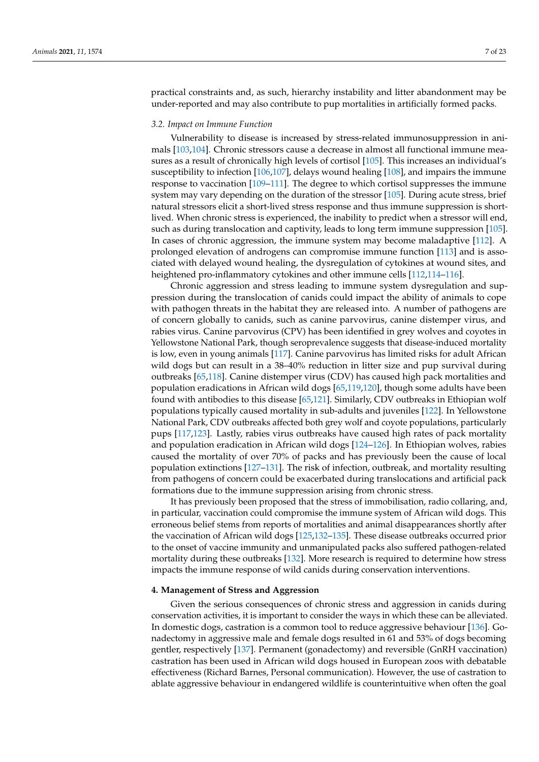practical constraints and, as such, hierarchy instability and litter abandonment may be under-reported and may also contribute to pup mortalities in artificially formed packs.

## *3.2. Impact on Immune Function*

Vulnerability to disease is increased by stress-related immunosuppression in animals [\[103](#page-18-8)[,104\]](#page-18-9). Chronic stressors cause a decrease in almost all functional immune measures as a result of chronically high levels of cortisol [\[105\]](#page-18-10). This increases an individual's susceptibility to infection [\[106,](#page-18-11)[107\]](#page-18-12), delays wound healing [\[108\]](#page-18-13), and impairs the immune response to vaccination [\[109–](#page-18-14)[111\]](#page-18-15). The degree to which cortisol suppresses the immune system may vary depending on the duration of the stressor [\[105\]](#page-18-10). During acute stress, brief natural stressors elicit a short-lived stress response and thus immune suppression is shortlived. When chronic stress is experienced, the inability to predict when a stressor will end, such as during translocation and captivity, leads to long term immune suppression [\[105\]](#page-18-10). In cases of chronic aggression, the immune system may become maladaptive [\[112\]](#page-18-16). A prolonged elevation of androgens can compromise immune function [\[113\]](#page-18-17) and is associated with delayed wound healing, the dysregulation of cytokines at wound sites, and heightened pro-inflammatory cytokines and other immune cells [\[112,](#page-18-16)[114](#page-18-18)[–116\]](#page-18-19).

Chronic aggression and stress leading to immune system dysregulation and suppression during the translocation of canids could impact the ability of animals to cope with pathogen threats in the habitat they are released into. A number of pathogens are of concern globally to canids, such as canine parvovirus, canine distemper virus, and rabies virus. Canine parvovirus (CPV) has been identified in grey wolves and coyotes in Yellowstone National Park, though seroprevalence suggests that disease-induced mortality is low, even in young animals [\[117\]](#page-18-20). Canine parvovirus has limited risks for adult African wild dogs but can result in a 38–40% reduction in litter size and pup survival during outbreaks [\[65](#page-17-1)[,118\]](#page-18-21). Canine distemper virus (CDV) has caused high pack mortalities and population eradications in African wild dogs [\[65](#page-17-1)[,119,](#page-18-22)[120\]](#page-19-0), though some adults have been found with antibodies to this disease [\[65,](#page-17-1)[121\]](#page-19-1). Similarly, CDV outbreaks in Ethiopian wolf populations typically caused mortality in sub-adults and juveniles [\[122\]](#page-19-2). In Yellowstone National Park, CDV outbreaks affected both grey wolf and coyote populations, particularly pups [\[117,](#page-18-20)[123\]](#page-19-3). Lastly, rabies virus outbreaks have caused high rates of pack mortality and population eradication in African wild dogs [\[124–](#page-19-4)[126\]](#page-19-5). In Ethiopian wolves, rabies caused the mortality of over 70% of packs and has previously been the cause of local population extinctions [\[127](#page-19-6)[–131\]](#page-19-7). The risk of infection, outbreak, and mortality resulting from pathogens of concern could be exacerbated during translocations and artificial pack formations due to the immune suppression arising from chronic stress.

It has previously been proposed that the stress of immobilisation, radio collaring, and, in particular, vaccination could compromise the immune system of African wild dogs. This erroneous belief stems from reports of mortalities and animal disappearances shortly after the vaccination of African wild dogs [\[125](#page-19-8)[,132](#page-19-9)[–135\]](#page-19-10). These disease outbreaks occurred prior to the onset of vaccine immunity and unmanipulated packs also suffered pathogen-related mortality during these outbreaks [\[132\]](#page-19-9). More research is required to determine how stress impacts the immune response of wild canids during conservation interventions.

#### **4. Management of Stress and Aggression**

Given the serious consequences of chronic stress and aggression in canids during conservation activities, it is important to consider the ways in which these can be alleviated. In domestic dogs, castration is a common tool to reduce aggressive behaviour [\[136\]](#page-19-11). Gonadectomy in aggressive male and female dogs resulted in 61 and 53% of dogs becoming gentler, respectively [\[137\]](#page-19-12). Permanent (gonadectomy) and reversible (GnRH vaccination) castration has been used in African wild dogs housed in European zoos with debatable effectiveness (Richard Barnes, Personal communication). However, the use of castration to ablate aggressive behaviour in endangered wildlife is counterintuitive when often the goal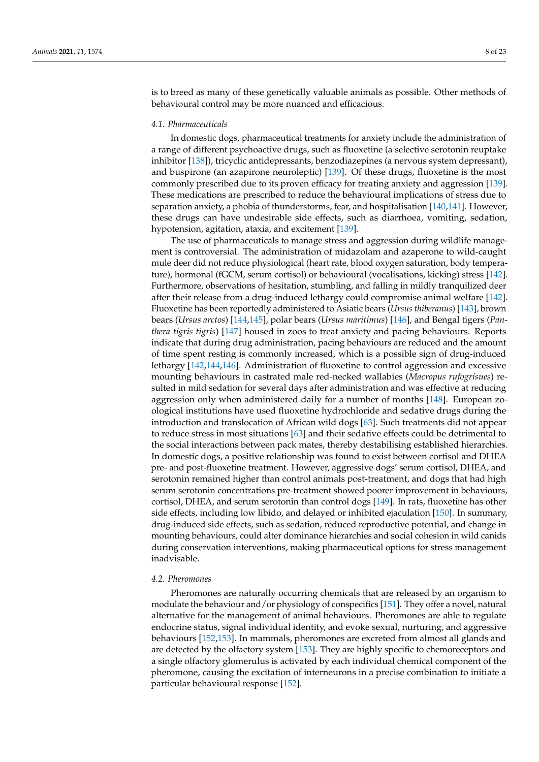is to breed as many of these genetically valuable animals as possible. Other methods of behavioural control may be more nuanced and efficacious.

## *4.1. Pharmaceuticals*

In domestic dogs, pharmaceutical treatments for anxiety include the administration of a range of different psychoactive drugs, such as fluoxetine (a selective serotonin reuptake inhibitor [\[138\]](#page-19-13)), tricyclic antidepressants, benzodiazepines (a nervous system depressant), and buspirone (an azapirone neuroleptic) [\[139\]](#page-19-14). Of these drugs, fluoxetine is the most commonly prescribed due to its proven efficacy for treating anxiety and aggression [\[139\]](#page-19-14). These medications are prescribed to reduce the behavioural implications of stress due to separation anxiety, a phobia of thunderstorms, fear, and hospitalisation [\[140](#page-19-15)[,141\]](#page-19-16). However, these drugs can have undesirable side effects, such as diarrhoea, vomiting, sedation, hypotension, agitation, ataxia, and excitement [\[139\]](#page-19-14).

The use of pharmaceuticals to manage stress and aggression during wildlife management is controversial. The administration of midazolam and azaperone to wild-caught mule deer did not reduce physiological (heart rate, blood oxygen saturation, body temperature), hormonal (fGCM, serum cortisol) or behavioural (vocalisations, kicking) stress [\[142\]](#page-19-17). Furthermore, observations of hesitation, stumbling, and falling in mildly tranquilized deer after their release from a drug-induced lethargy could compromise animal welfare [\[142\]](#page-19-17). Fluoxetine has been reportedly administered to Asiatic bears (*Ursus thiberanus*) [\[143\]](#page-19-18), brown bears (*Ursus arctos*) [\[144,](#page-19-19)[145\]](#page-19-20), polar bears (*Ursus maritimus*) [\[146\]](#page-19-21), and Bengal tigers (*Panthera tigris tigris*) [\[147\]](#page-20-0) housed in zoos to treat anxiety and pacing behaviours. Reports indicate that during drug administration, pacing behaviours are reduced and the amount of time spent resting is commonly increased, which is a possible sign of drug-induced lethargy [\[142,](#page-19-17)[144,](#page-19-19)[146\]](#page-19-21). Administration of fluoxetine to control aggression and excessive mounting behaviours in castrated male red-necked wallabies (*Macropus rufogrisues*) resulted in mild sedation for several days after administration and was effective at reducing aggression only when administered daily for a number of months [\[148\]](#page-20-1). European zoological institutions have used fluoxetine hydrochloride and sedative drugs during the introduction and translocation of African wild dogs [\[63\]](#page-16-28). Such treatments did not appear to reduce stress in most situations [\[63\]](#page-16-28) and their sedative effects could be detrimental to the social interactions between pack mates, thereby destabilising established hierarchies. In domestic dogs, a positive relationship was found to exist between cortisol and DHEA pre- and post-fluoxetine treatment. However, aggressive dogs' serum cortisol, DHEA, and serotonin remained higher than control animals post-treatment, and dogs that had high serum serotonin concentrations pre-treatment showed poorer improvement in behaviours, cortisol, DHEA, and serum serotonin than control dogs [\[149\]](#page-20-2). In rats, fluoxetine has other side effects, including low libido, and delayed or inhibited ejaculation [\[150\]](#page-20-3). In summary, drug-induced side effects, such as sedation, reduced reproductive potential, and change in mounting behaviours, could alter dominance hierarchies and social cohesion in wild canids during conservation interventions, making pharmaceutical options for stress management inadvisable.

## *4.2. Pheromones*

Pheromones are naturally occurring chemicals that are released by an organism to modulate the behaviour and/or physiology of conspecifics [\[151\]](#page-20-4). They offer a novel, natural alternative for the management of animal behaviours. Pheromones are able to regulate endocrine status, signal individual identity, and evoke sexual, nurturing, and aggressive behaviours [\[152,](#page-20-5)[153\]](#page-20-6). In mammals, pheromones are excreted from almost all glands and are detected by the olfactory system [\[153\]](#page-20-6). They are highly specific to chemoreceptors and a single olfactory glomerulus is activated by each individual chemical component of the pheromone, causing the excitation of interneurons in a precise combination to initiate a particular behavioural response [\[152\]](#page-20-5).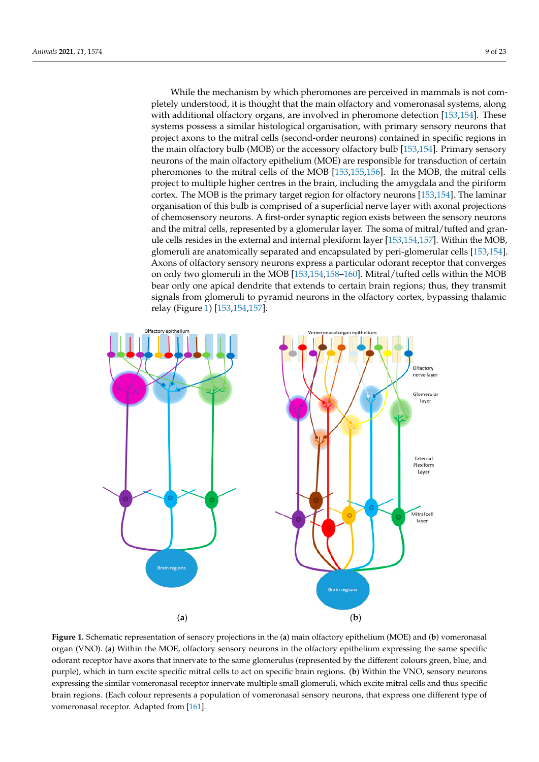While the mechanism by which pheromones are perceived in mammals is not completely understood, it is thought that the main olfactory and vomeronasal systems, along with additional olfactory organs, are involved in pheromone detection [\[153,](#page-20-6)[154\]](#page-20-7). These systems possess a similar histological organisation, with primary sensory neurons that project axons to the mitral cells (second-order neurons) contained in specific regions in the main olfactory bulb (MOB) or the accessory olfactory bulb [\[153,](#page-20-6)[154\]](#page-20-7). Primary sensory neurons of the main olfactory epithelium (MOE) are responsible for transduction of certain pheromones to the mitral cells of the MOB [\[153](#page-20-6)[,155](#page-20-8)[,156\]](#page-20-9). In the MOB, the mitral cells project to multiple higher centres in the brain, including the amygdala and the piriform cortex. The MOB is the primary target region for olfactory neurons [\[153](#page-20-6)[,154\]](#page-20-7). The laminar organisation of this bulb is comprised of a superficial nerve layer with axonal projections of chemosensory neurons. A first-order synaptic region exists between the sensory neurons and the mitral cells, represented by a glomerular layer. The soma of mitral/tufted and granule cells resides in the external and internal plexiform layer [\[153,](#page-20-6)[154,](#page-20-7)[157\]](#page-20-10). Within the MOB, glomeruli are anatomically separated and encapsulated by peri-glomerular cells [\[153](#page-20-6)[,154\]](#page-20-7). Axons of olfactory sensory neurons express a particular odorant receptor that converges on only two glomeruli in the MOB [\[153](#page-20-6)[,154](#page-20-7)[,158–](#page-20-11)[160\]](#page-20-12). Mitral/tufted cells within the MOB bear only one apical dendrite that extends to certain brain regions; thus, they transmit signals from glomeruli to pyramid neurons in the olfactory cortex, bypassing thalamic relay (Figure [1\)](#page-8-0) [\[153,](#page-20-6)[154,](#page-20-7)[157\]](#page-20-10).

<span id="page-8-0"></span>

Figure 1. Schematic representation of sensory projections in the (a) main olfactory epithelium (MOE) and (b) vomeronasal organ (VNO). (a) Within the MOE, olfactory sensory neurons in the olfactory epithelium expressing the same specific odorant receptor have axons that innervate to the same glomerulus (represented by the different colours green, blue, and  $t_{\text{tot}}$  and same glomerator glomerator (represented by  $t_{\text{tot}}$ ) and  $t_{\text{tot}}$  in turns green,  $\frac{1}{2}$ purple), which in turn excite specific mitral cells to act on specific brain regions. (b) Within the VNO, sensory neurons expressing the similar vomeronasal receptor innervate multiple small glomeruli, which excite mitral cells and thus specific<br>. brain regions. (Each colour represents a population of vomeronasal sensory neurons, that express one different type of vomeronasal receptor. Adapted from [\[161\]](#page-20-13).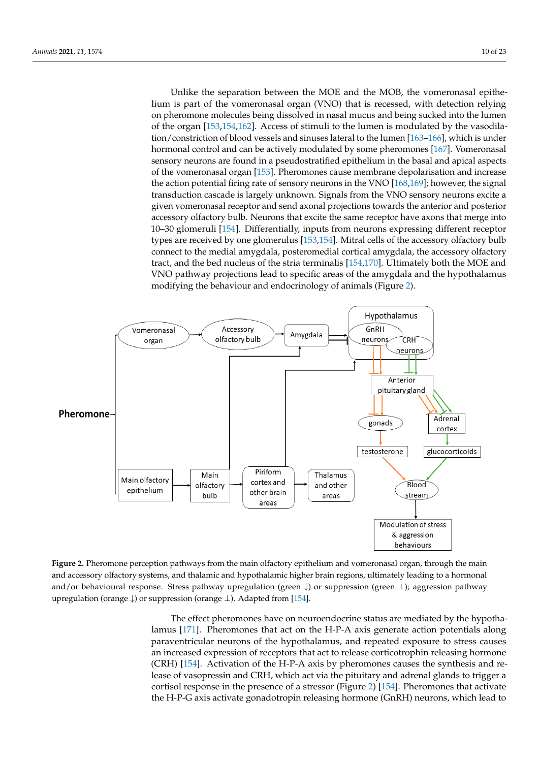Unlike the separation between the MOE and the MOB, the vomeronasal epithelium is part of the vomeronasal organ (VNO) that is recessed, with detection relying on pheromone molecules being dissolved in nasal mucus and being sucked into the lumen of the organ  $[153,154,162]$  $[153,154,162]$  $[153,154,162]$ . Access of stimuli to the lumen is modulated by the vasodila-tion/constriction of blood vessels and sinuses lateral to the lumen [\[163–](#page-20-15)[166\]](#page-20-16), which is under<br>howment and the land see he astimals and delated by some absence as [167]. Venezues see l hormonal control and can be actively modulated by some pheromones [\[167\]](#page-20-17). Vomeronasal  $S<sub>1</sub>$  modulate and can be definedly included by some precedincies  $[2\sigma]$ . The research sensory neurons are found in a pseudostratified epithelium in the basal and apical aspects of the vomeronasal organ [153]. Pheromones cause membrane depolarisation [and](#page-20-6) increase the action potential firing rat[e of](#page-20-19) sensory neurons in the VNO [168,169]; however, the signal transduction cascade is largely unknown. Signals from the VNO sensory neurons excite a given vomeronasal receptor and send axonal projections towards the anterior and posterior<br>organization of that are belleved to control the hydrogen to control have avere that may a inte accessory olfactory bulb. Neurons that excite the same receptor have axons that merge into 10–30 glomeruli [\[154\]](#page-20-7). Differentially, inputs from neurons expressing different receptor types [are](#page-20-6) received by one glomerulus [153,154]. Mitral cells of the accessory olfactory bulb connect to the medial amygdala, posteromedial cortical amygdala, the accessory olfactory tract, and the bed nucleus of the stria terminalis [\[154](#page-20-7)[,170\]](#page-20-20). Ultimately both the MOE and, the  $\overline{MO}$  and, the  $\overline{NO}$ VNO pathway projections lead to specific areas of the amygdala and the hypothalamus wise pathway projections idea to specific areas of the antyguana?<br>modifying the behaviour and endocrinology of animals (Figure [2\)](#page-9-0).

<span id="page-9-0"></span>

**Figure 2.** Pheromone perception pathways from the main olfactory epithelium and vomeronasal organ, through the main and accessory olfactory systems, and thalamic and hypothalamic higher brain regions, ultimately leading to a hormonal and/or behavioural response. Stress pathway upregulation (green  $\downarrow$ ) or suppression (green  $\perp$ ); aggression pathway regulation (orange ↓) or suppression (orange ⊥). Adapted from [154]. upregulation (orange ↓) or suppression (orange ⊥). Adapted from [\[154\]](#page-20-7).

lamus [171]. Pheromones that act on the H-P-A axis generate action potentials along paraventricular neurons of the hypothalamus, and repeated exposure to stress causes an increased expression of receptors that act to release corticotrophin releasing hormone<br>COLD 14541 A.C. and act LLPA A.C. LLPA and act to release corticotrophin releasing hormone lease of vasopressin and CRH, which act via the pituitary and adrenal glands to trigger a cortisol response in the presence of a stressor (Figure [2\)](#page-9-0) [154]. Pheromones that activate the H-P-G axis activate gonadotropin releasing hormone (GnRH) neurons, which lead to The effect pheromones have on neuroendocrine status are mediated by the hypotha-(CRH) [\[154\]](#page-20-7). Activation of the H-P-A axis by pheromones causes the synthesis and re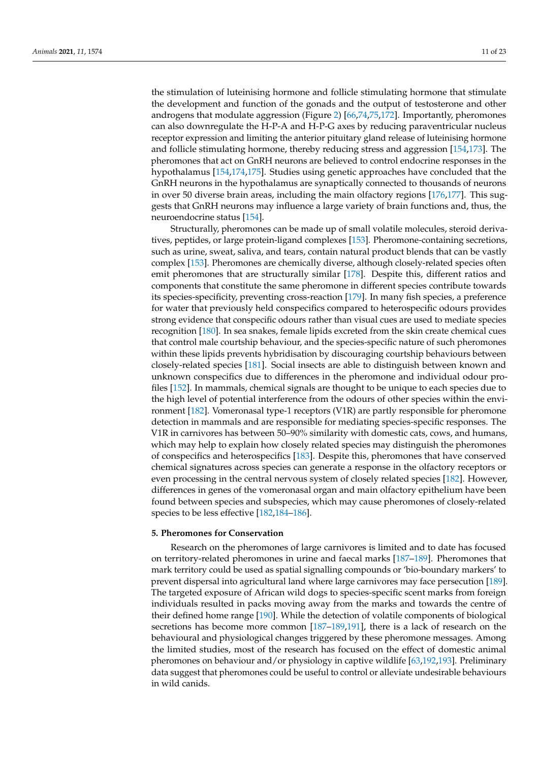the stimulation of luteinising hormone and follicle stimulating hormone that stimulate the development and function of the gonads and the output of testosterone and other androgens that modulate aggression (Figure [2\)](#page-9-0) [\[66](#page-17-2)[,74](#page-17-10)[,75](#page-17-11)[,172\]](#page-20-22). Importantly, pheromones can also downregulate the H-P-A and H-P-G axes by reducing paraventricular nucleus receptor expression and limiting the anterior pituitary gland release of luteinising hormone and follicle stimulating hormone, thereby reducing stress and aggression [\[154](#page-20-7)[,173\]](#page-20-23). The pheromones that act on GnRH neurons are believed to control endocrine responses in the hypothalamus [\[154](#page-20-7)[,174](#page-20-24)[,175\]](#page-20-25). Studies using genetic approaches have concluded that the GnRH neurons in the hypothalamus are synaptically connected to thousands of neurons in over 50 diverse brain areas, including the main olfactory regions [\[176,](#page-20-26)[177\]](#page-20-27). This suggests that GnRH neurons may influence a large variety of brain functions and, thus, the neuroendocrine status [\[154\]](#page-20-7).

Structurally, pheromones can be made up of small volatile molecules, steroid derivatives, peptides, or large protein-ligand complexes [\[153\]](#page-20-6). Pheromone-containing secretions, such as urine, sweat, saliva, and tears, contain natural product blends that can be vastly complex [\[153\]](#page-20-6). Pheromones are chemically diverse, although closely-related species often emit pheromones that are structurally similar [\[178\]](#page-20-28). Despite this, different ratios and components that constitute the same pheromone in different species contribute towards its species-specificity, preventing cross-reaction [\[179\]](#page-20-29). In many fish species, a preference for water that previously held conspecifics compared to heterospecific odours provides strong evidence that conspecific odours rather than visual cues are used to mediate species recognition [\[180\]](#page-21-0). In sea snakes, female lipids excreted from the skin create chemical cues that control male courtship behaviour, and the species-specific nature of such pheromones within these lipids prevents hybridisation by discouraging courtship behaviours between closely-related species [\[181\]](#page-21-1). Social insects are able to distinguish between known and unknown conspecifics due to differences in the pheromone and individual odour profiles [\[152\]](#page-20-5). In mammals, chemical signals are thought to be unique to each species due to the high level of potential interference from the odours of other species within the environment [\[182\]](#page-21-2). Vomeronasal type-1 receptors (V1R) are partly responsible for pheromone detection in mammals and are responsible for mediating species-specific responses. The V1R in carnivores has between 50–90% similarity with domestic cats, cows, and humans, which may help to explain how closely related species may distinguish the pheromones of conspecifics and heterospecifics [\[183\]](#page-21-3). Despite this, pheromones that have conserved chemical signatures across species can generate a response in the olfactory receptors or even processing in the central nervous system of closely related species [\[182\]](#page-21-2). However, differences in genes of the vomeronasal organ and main olfactory epithelium have been found between species and subspecies, which may cause pheromones of closely-related species to be less effective [\[182](#page-21-2)[,184–](#page-21-4)[186\]](#page-21-5).

## **5. Pheromones for Conservation**

Research on the pheromones of large carnivores is limited and to date has focused on territory-related pheromones in urine and faecal marks [\[187–](#page-21-6)[189\]](#page-21-7). Pheromones that mark territory could be used as spatial signalling compounds or 'bio-boundary markers' to prevent dispersal into agricultural land where large carnivores may face persecution [\[189\]](#page-21-7). The targeted exposure of African wild dogs to species-specific scent marks from foreign individuals resulted in packs moving away from the marks and towards the centre of their defined home range [\[190\]](#page-21-8). While the detection of volatile components of biological secretions has become more common [\[187–](#page-21-6)[189](#page-21-7)[,191\]](#page-21-9), there is a lack of research on the behavioural and physiological changes triggered by these pheromone messages. Among the limited studies, most of the research has focused on the effect of domestic animal pheromones on behaviour and/or physiology in captive wildlife [\[63](#page-16-28)[,192,](#page-21-10)[193\]](#page-21-11). Preliminary data suggest that pheromones could be useful to control or alleviate undesirable behaviours in wild canids.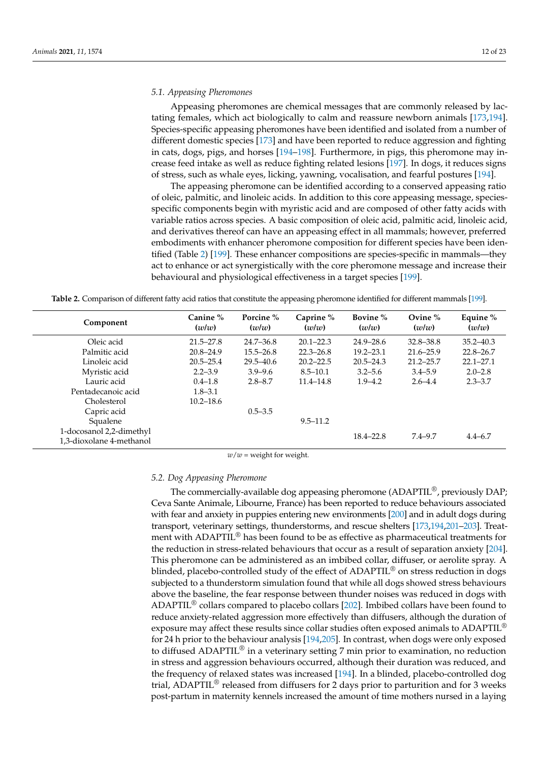#### *5.1. Appeasing Pheromones*

Appeasing pheromones are chemical messages that are commonly released by lactating females, which act biologically to calm and reassure newborn animals [\[173,](#page-20-23)[194\]](#page-21-12). Species-specific appeasing pheromones have been identified and isolated from a number of different domestic species [\[173\]](#page-20-23) and have been reported to reduce aggression and fighting in cats, dogs, pigs, and horses [\[194–](#page-21-12)[198\]](#page-21-13). Furthermore, in pigs, this pheromone may increase feed intake as well as reduce fighting related lesions [\[197\]](#page-21-14). In dogs, it reduces signs of stress, such as whale eyes, licking, yawning, vocalisation, and fearful postures [\[194\]](#page-21-12).

The appeasing pheromone can be identified according to a conserved appeasing ratio of oleic, palmitic, and linoleic acids. In addition to this core appeasing message, speciesspecific components begin with myristic acid and are composed of other fatty acids with variable ratios across species. A basic composition of oleic acid, palmitic acid, linoleic acid, and derivatives thereof can have an appeasing effect in all mammals; however, preferred embodiments with enhancer pheromone composition for different species have been iden-tified (Table [2\)](#page-11-0) [\[199\]](#page-21-15). These enhancer compositions are species-specific in mammals—they act to enhance or act synergistically with the core pheromone message and increase their behavioural and physiological effectiveness in a target species [\[199\]](#page-21-15).

<span id="page-11-0"></span>**Table 2.** Comparison of different fatty acid ratios that constitute the appeasing pheromone identified for different mammals [\[199\]](#page-21-15).

| Component                                            | Canine %<br>(w/w) | Porcine %<br>(w/w) | Caprine %<br>(w/w) | Bovine %<br>(w/w) | Ovine $\%$<br>(w/w) | Equine %<br>(w/w) |
|------------------------------------------------------|-------------------|--------------------|--------------------|-------------------|---------------------|-------------------|
| Oleic acid                                           | $21.5 - 27.8$     | $24.7 - 36.8$      | $20.1 - 22.3$      | $24.9 - 28.6$     | $32.8 - 38.8$       | $35.2 - 40.3$     |
| Palmitic acid                                        | $20.8 - 24.9$     | $15.5 - 26.8$      | $22.3 - 26.8$      | $19.2 - 23.1$     | $21.6 - 25.9$       | $22.8 - 26.7$     |
| Linoleic acid                                        | $20.5 - 25.4$     | $29.5 - 40.6$      | $20.2 - 22.5$      | $20.5 - 24.3$     | $21.2 - 25.7$       | $22.1 - 27.1$     |
| Myristic acid                                        | $2.2 - 3.9$       | $3.9 - 9.6$        | $8.5 - 10.1$       | $3.2 - 5.6$       | $3.4 - 5.9$         | $2.0 - 2.8$       |
| Lauric acid                                          | $0.4 - 1.8$       | $2.8 - 8.7$        | $11.4 - 14.8$      | $1.9 - 4.2$       | $2.6 - 4.4$         | $2.3 - 3.7$       |
| Pentadecanoic acid                                   | $1.8 - 3.1$       |                    |                    |                   |                     |                   |
| Cholesterol                                          | $10.2 - 18.6$     |                    |                    |                   |                     |                   |
| Capric acid                                          |                   | $0.5 - 3.5$        |                    |                   |                     |                   |
| Squalene                                             |                   |                    | $9.5 - 11.2$       |                   |                     |                   |
| 1-docosanol 2,2-dimethyl<br>1,3-dioxolane 4-methanol |                   |                    |                    | $18.4 - 22.8$     | 7.4–9.7             | $4.4 - 6.7$       |

 $w/w$  = weight for weight.

#### *5.2. Dog Appeasing Pheromone*

The commercially-available dog appeasing pheromone  $(ADAPTIL^{\circledcirc},$  previously  $DAP$ ; Ceva Sante Animale, Libourne, France) has been reported to reduce behaviours associated with fear and anxiety in puppies entering new environments [\[200\]](#page-21-16) and in adult dogs during transport, veterinary settings, thunderstorms, and rescue shelters [\[173](#page-20-23)[,194](#page-21-12)[,201](#page-21-17)[–203\]](#page-21-18). Treatment with ADAPTIL<sup>®</sup> has been found to be as effective as pharmaceutical treatments for the reduction in stress-related behaviours that occur as a result of separation anxiety [\[204\]](#page-21-19). This pheromone can be administered as an imbibed collar, diffuser, or aerolite spray. A blinded, placebo-controlled study of the effect of  $ADAPTIL<sup>®</sup>$  on stress reduction in dogs subjected to a thunderstorm simulation found that while all dogs showed stress behaviours above the baseline, the fear response between thunder noises was reduced in dogs with ADAPTIL<sup>®</sup> collars compared to placebo collars  $[202]$ . Imbibed collars have been found to reduce anxiety-related aggression more effectively than diffusers, although the duration of exposure may affect these results since collar studies often exposed animals to ADAPTIL® for 24 h prior to the behaviour analysis [\[194,](#page-21-12)[205\]](#page-21-21). In contrast, when dogs were only exposed to diffused ADAPTIL<sup>®</sup> in a veterinary setting 7 min prior to examination, no reduction in stress and aggression behaviours occurred, although their duration was reduced, and the frequency of relaxed states was increased [\[194\]](#page-21-12). In a blinded, placebo-controlled dog trial, ADAPTIL<sup>®</sup> released from diffusers for 2 days prior to parturition and for 3 weeks post-partum in maternity kennels increased the amount of time mothers nursed in a laying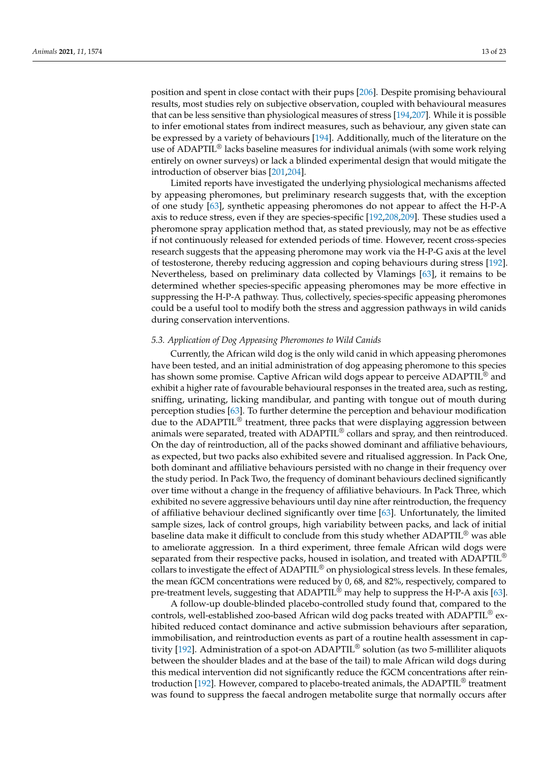position and spent in close contact with their pups [\[206\]](#page-21-22). Despite promising behavioural results, most studies rely on subjective observation, coupled with behavioural measures that can be less sensitive than physiological measures of stress [\[194,](#page-21-12)[207\]](#page-22-0). While it is possible to infer emotional states from indirect measures, such as behaviour, any given state can be expressed by a variety of behaviours [\[194\]](#page-21-12). Additionally, much of the literature on the use of ADAPTIL® lacks baseline measures for individual animals (with some work relying entirely on owner surveys) or lack a blinded experimental design that would mitigate the introduction of observer bias [\[201,](#page-21-17)[204\]](#page-21-19).

Limited reports have investigated the underlying physiological mechanisms affected by appeasing pheromones, but preliminary research suggests that, with the exception of one study [\[63\]](#page-16-28), synthetic appeasing pheromones do not appear to affect the H-P-A axis to reduce stress, even if they are species-specific [\[192,](#page-21-10)[208,](#page-22-1)[209\]](#page-22-2). These studies used a pheromone spray application method that, as stated previously, may not be as effective if not continuously released for extended periods of time. However, recent cross-species research suggests that the appeasing pheromone may work via the H-P-G axis at the level of testosterone, thereby reducing aggression and coping behaviours during stress [\[192\]](#page-21-10). Nevertheless, based on preliminary data collected by Vlamings [\[63\]](#page-16-28), it remains to be determined whether species-specific appeasing pheromones may be more effective in suppressing the H-P-A pathway. Thus, collectively, species-specific appeasing pheromones could be a useful tool to modify both the stress and aggression pathways in wild canids during conservation interventions.

## *5.3. Application of Dog Appeasing Pheromones to Wild Canids*

Currently, the African wild dog is the only wild canid in which appeasing pheromones have been tested, and an initial administration of dog appeasing pheromone to this species has shown some promise. Captive African wild dogs appear to perceive ADAPTIL<sup>®</sup> and exhibit a higher rate of favourable behavioural responses in the treated area, such as resting, sniffing, urinating, licking mandibular, and panting with tongue out of mouth during perception studies [\[63\]](#page-16-28). To further determine the perception and behaviour modification due to the ADAPTIL<sup>®</sup> treatment, three packs that were displaying aggression between animals were separated, treated with  $ADAPTIL<sup>®</sup>$  collars and spray, and then reintroduced. On the day of reintroduction, all of the packs showed dominant and affiliative behaviours, as expected, but two packs also exhibited severe and ritualised aggression. In Pack One, both dominant and affiliative behaviours persisted with no change in their frequency over the study period. In Pack Two, the frequency of dominant behaviours declined significantly over time without a change in the frequency of affiliative behaviours. In Pack Three, which exhibited no severe aggressive behaviours until day nine after reintroduction, the frequency of affiliative behaviour declined significantly over time [\[63\]](#page-16-28). Unfortunately, the limited sample sizes, lack of control groups, high variability between packs, and lack of initial baseline data make it difficult to conclude from this study whether ADAPTIL® was able to ameliorate aggression. In a third experiment, three female African wild dogs were separated from their respective packs, housed in isolation, and treated with ADAPTIL<sup>®</sup> collars to investigate the effect of ADAPTIL® on physiological stress levels. In these females, the mean fGCM concentrations were reduced by 0, 68, and 82%, respectively, compared to pre-treatment levels, suggesting that ADAPTIL<sup>®</sup> may help to suppress the H-P-A axis [\[63\]](#page-16-28).

A follow-up double-blinded placebo-controlled study found that, compared to the controls, well-established zoo-based African wild dog packs treated with ADAPTIL<sup>®</sup> exhibited reduced contact dominance and active submission behaviours after separation, immobilisation, and reintroduction events as part of a routine health assessment in captivity [\[192\]](#page-21-10). Administration of a spot-on ADAPTIL® solution (as two 5-milliliter aliquots between the shoulder blades and at the base of the tail) to male African wild dogs during this medical intervention did not significantly reduce the fGCM concentrations after reintroduction [\[192\]](#page-21-10). However, compared to placebo-treated animals, the ADAPTIL® treatment was found to suppress the faecal androgen metabolite surge that normally occurs after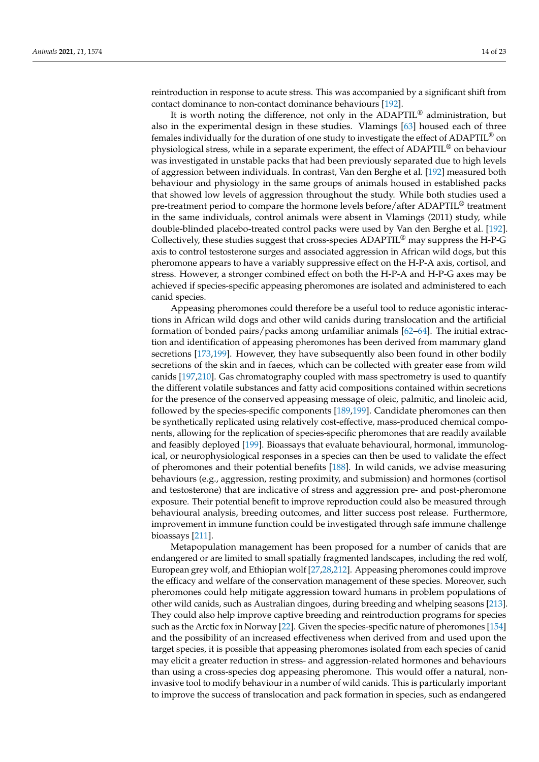reintroduction in response to acute stress. This was accompanied by a significant shift from

contact dominance to non-contact dominance behaviours [\[192\]](#page-21-10). It is worth noting the difference, not only in the ADAPTIL® administration, but also in the experimental design in these studies. Vlamings [\[63\]](#page-16-28) housed each of three females individually for the duration of one study to investigate the effect of ADAPTIL® on physiological stress, while in a separate experiment, the effect of ADAPTIL® on behaviour was investigated in unstable packs that had been previously separated due to high levels of aggression between individuals. In contrast, Van den Berghe et al. [\[192\]](#page-21-10) measured both behaviour and physiology in the same groups of animals housed in established packs that showed low levels of aggression throughout the study. While both studies used a pre-treatment period to compare the hormone levels before/after ADAPTIL® treatment in the same individuals, control animals were absent in Vlamings (2011) study, while double-blinded placebo-treated control packs were used by Van den Berghe et al. [\[192\]](#page-21-10). Collectively, these studies suggest that cross-species ADAPTIL® may suppress the H-P-G axis to control testosterone surges and associated aggression in African wild dogs, but this pheromone appears to have a variably suppressive effect on the H-P-A axis, cortisol, and stress. However, a stronger combined effect on both the H-P-A and H-P-G axes may be achieved if species-specific appeasing pheromones are isolated and administered to each canid species.

Appeasing pheromones could therefore be a useful tool to reduce agonistic interactions in African wild dogs and other wild canids during translocation and the artificial formation of bonded pairs/packs among unfamiliar animals [\[62–](#page-16-27)[64\]](#page-17-0). The initial extraction and identification of appeasing pheromones has been derived from mammary gland secretions [\[173](#page-20-23)[,199\]](#page-21-15). However, they have subsequently also been found in other bodily secretions of the skin and in faeces, which can be collected with greater ease from wild canids [\[197](#page-21-14)[,210\]](#page-22-3). Gas chromatography coupled with mass spectrometry is used to quantify the different volatile substances and fatty acid compositions contained within secretions for the presence of the conserved appeasing message of oleic, palmitic, and linoleic acid, followed by the species-specific components [\[189,](#page-21-7)[199\]](#page-21-15). Candidate pheromones can then be synthetically replicated using relatively cost-effective, mass-produced chemical components, allowing for the replication of species-specific pheromones that are readily available and feasibly deployed [\[199\]](#page-21-15). Bioassays that evaluate behavioural, hormonal, immunological, or neurophysiological responses in a species can then be used to validate the effect of pheromones and their potential benefits [\[188\]](#page-21-23). In wild canids, we advise measuring behaviours (e.g., aggression, resting proximity, and submission) and hormones (cortisol and testosterone) that are indicative of stress and aggression pre- and post-pheromone exposure. Their potential benefit to improve reproduction could also be measured through behavioural analysis, breeding outcomes, and litter success post release. Furthermore, improvement in immune function could be investigated through safe immune challenge bioassays [\[211\]](#page-22-4).

Metapopulation management has been proposed for a number of canids that are endangered or are limited to small spatially fragmented landscapes, including the red wolf, European grey wolf, and Ethiopian wolf [\[27,](#page-15-16)[28](#page-15-21)[,212\]](#page-22-5). Appeasing pheromones could improve the efficacy and welfare of the conservation management of these species. Moreover, such pheromones could help mitigate aggression toward humans in problem populations of other wild canids, such as Australian dingoes, during breeding and whelping seasons [\[213\]](#page-22-6). They could also help improve captive breeding and reintroduction programs for species such as the Arctic fox in Norway [\[22\]](#page-15-12). Given the species-specific nature of pheromones [\[154\]](#page-20-7) and the possibility of an increased effectiveness when derived from and used upon the target species, it is possible that appeasing pheromones isolated from each species of canid may elicit a greater reduction in stress- and aggression-related hormones and behaviours than using a cross-species dog appeasing pheromone. This would offer a natural, noninvasive tool to modify behaviour in a number of wild canids. This is particularly important to improve the success of translocation and pack formation in species, such as endangered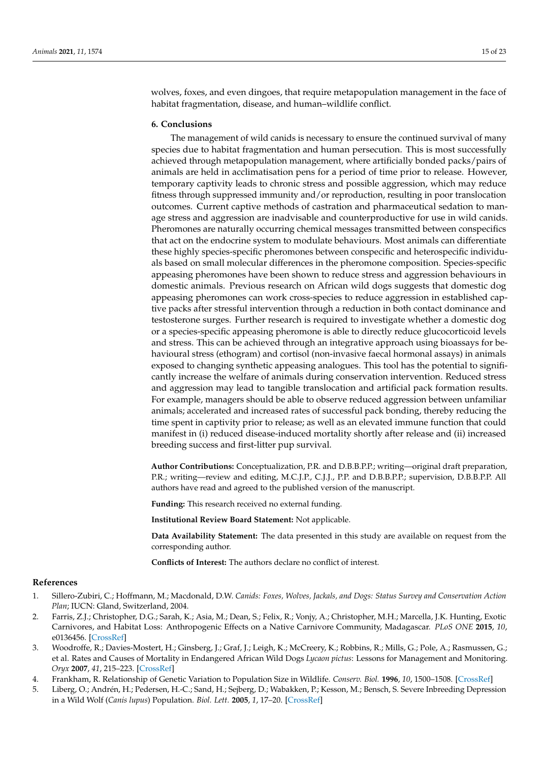wolves, foxes, and even dingoes, that require metapopulation management in the face of habitat fragmentation, disease, and human–wildlife conflict.

## **6. Conclusions**

The management of wild canids is necessary to ensure the continued survival of many species due to habitat fragmentation and human persecution. This is most successfully achieved through metapopulation management, where artificially bonded packs/pairs of animals are held in acclimatisation pens for a period of time prior to release. However, temporary captivity leads to chronic stress and possible aggression, which may reduce fitness through suppressed immunity and/or reproduction, resulting in poor translocation outcomes. Current captive methods of castration and pharmaceutical sedation to manage stress and aggression are inadvisable and counterproductive for use in wild canids. Pheromones are naturally occurring chemical messages transmitted between conspecifics that act on the endocrine system to modulate behaviours. Most animals can differentiate these highly species-specific pheromones between conspecific and heterospecific individuals based on small molecular differences in the pheromone composition. Species-specific appeasing pheromones have been shown to reduce stress and aggression behaviours in domestic animals. Previous research on African wild dogs suggests that domestic dog appeasing pheromones can work cross-species to reduce aggression in established captive packs after stressful intervention through a reduction in both contact dominance and testosterone surges. Further research is required to investigate whether a domestic dog or a species-specific appeasing pheromone is able to directly reduce glucocorticoid levels and stress. This can be achieved through an integrative approach using bioassays for behavioural stress (ethogram) and cortisol (non-invasive faecal hormonal assays) in animals exposed to changing synthetic appeasing analogues. This tool has the potential to significantly increase the welfare of animals during conservation intervention. Reduced stress and aggression may lead to tangible translocation and artificial pack formation results. For example, managers should be able to observe reduced aggression between unfamiliar animals; accelerated and increased rates of successful pack bonding, thereby reducing the time spent in captivity prior to release; as well as an elevated immune function that could manifest in (i) reduced disease-induced mortality shortly after release and (ii) increased breeding success and first-litter pup survival.

**Author Contributions:** Conceptualization, P.R. and D.B.B.P.P.; writing—original draft preparation, P.R.; writing—review and editing, M.C.J.P., C.J.J., P.P. and D.B.B.P.P.; supervision, D.B.B.P.P. All authors have read and agreed to the published version of the manuscript.

**Funding:** This research received no external funding.

**Institutional Review Board Statement:** Not applicable.

**Data Availability Statement:** The data presented in this study are available on request from the corresponding author.

**Conflicts of Interest:** The authors declare no conflict of interest.

#### **References**

- <span id="page-14-0"></span>1. Sillero-Zubiri, C.; Hoffmann, M.; Macdonald, D.W. *Canids: Foxes, Wolves, Jackals, and Dogs: Status Survey and Conservation Action Plan*; IUCN: Gland, Switzerland, 2004.
- <span id="page-14-1"></span>2. Farris, Z.J.; Christopher, D.G.; Sarah, K.; Asia, M.; Dean, S.; Felix, R.; Vonjy, A.; Christopher, M.H.; Marcella, J.K. Hunting, Exotic Carnivores, and Habitat Loss: Anthropogenic Effects on a Native Carnivore Community, Madagascar. *PLoS ONE* **2015**, *10*, e0136456. [\[CrossRef\]](http://doi.org/10.1371/journal.pone.0136456)
- <span id="page-14-2"></span>3. Woodroffe, R.; Davies-Mostert, H.; Ginsberg, J.; Graf, J.; Leigh, K.; McCreery, K.; Robbins, R.; Mills, G.; Pole, A.; Rasmussen, G.; et al. Rates and Causes of Mortality in Endangered African Wild Dogs *Lycaon pictus*: Lessons for Management and Monitoring. *Oryx* **2007**, *41*, 215–223. [\[CrossRef\]](http://doi.org/10.1017/S0030605307001809)
- <span id="page-14-3"></span>4. Frankham, R. Relationship of Genetic Variation to Population Size in Wildlife. *Conserv. Biol.* **1996**, *10*, 1500–1508. [\[CrossRef\]](http://doi.org/10.1046/j.1523-1739.1996.10061500.x)
- <span id="page-14-4"></span>5. Liberg, O.; Andrén, H.; Pedersen, H.-C.; Sand, H.; Sejberg, D.; Wabakken, P.; Kesson, M.; Bensch, S. Severe Inbreeding Depression in a Wild Wolf (*Canis lupus*) Population. *Biol. Lett.* **2005**, *1*, 17–20. [\[CrossRef\]](http://doi.org/10.1098/rsbl.2004.0266)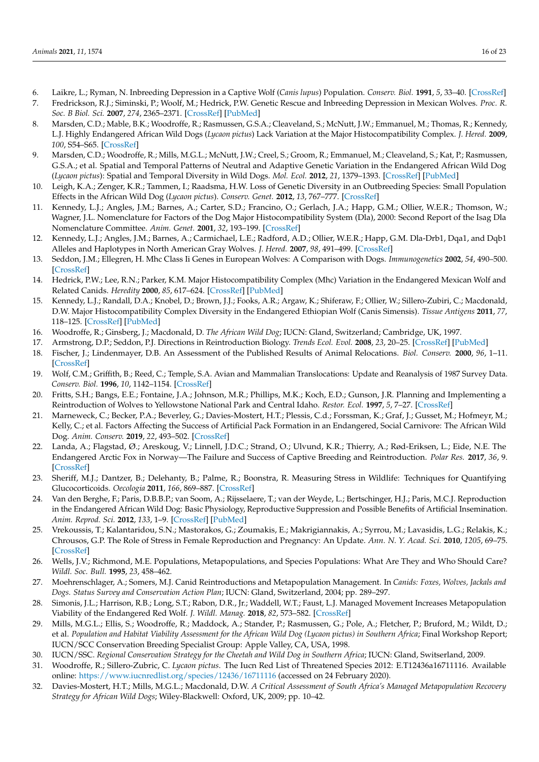- <span id="page-15-0"></span>6. Laikre, L.; Ryman, N. Inbreeding Depression in a Captive Wolf (*Canis lupus*) Population. *Conserv. Biol.* **1991**, *5*, 33–40. [\[CrossRef\]](http://doi.org/10.1111/j.1523-1739.1991.tb00385.x)
- <span id="page-15-1"></span>7. Fredrickson, R.J.; Siminski, P.; Woolf, M.; Hedrick, P.W. Genetic Rescue and Inbreeding Depression in Mexican Wolves. *Proc. R. Soc. B Biol. Sci.* **2007**, *274*, 2365–2371. [\[CrossRef\]](http://doi.org/10.1098/rspb.2007.0785) [\[PubMed\]](http://www.ncbi.nlm.nih.gov/pubmed/17609180)
- <span id="page-15-2"></span>8. Marsden, C.D.; Mable, B.K.; Woodroffe, R.; Rasmussen, G.S.A.; Cleaveland, S.; McNutt, J.W.; Emmanuel, M.; Thomas, R.; Kennedy, L.J. Highly Endangered African Wild Dogs (*Lycaon pictus*) Lack Variation at the Major Histocompatibility Complex. *J. Hered.* **2009**, *100*, S54–S65. [\[CrossRef\]](http://doi.org/10.1093/jhered/esp031)
- 9. Marsden, C.D.; Woodroffe, R.; Mills, M.G.L.; McNutt, J.W.; Creel, S.; Groom, R.; Emmanuel, M.; Cleaveland, S.; Kat, P.; Rasmussen, G.S.A.; et al. Spatial and Temporal Patterns of Neutral and Adaptive Genetic Variation in the Endangered African Wild Dog (*Lycaon pictus*): Spatial and Temporal Diversity in Wild Dogs. *Mol. Ecol.* **2012**, *21*, 1379–1393. [\[CrossRef\]](http://doi.org/10.1111/j.1365-294X.2012.05477.x) [\[PubMed\]](http://www.ncbi.nlm.nih.gov/pubmed/22320891)
- <span id="page-15-3"></span>10. Leigh, K.A.; Zenger, K.R.; Tammen, I.; Raadsma, H.W. Loss of Genetic Diversity in an Outbreeding Species: Small Population Effects in the African Wild Dog (*Lycaon pictus*). *Conserv. Genet.* **2012**, *13*, 767–777. [\[CrossRef\]](http://doi.org/10.1007/s10592-012-0325-2)
- <span id="page-15-4"></span>11. Kennedy, L.J.; Angles, J.M.; Barnes, A.; Carter, S.D.; Francino, O.; Gerlach, J.A.; Happ, G.M.; Ollier, W.E.R.; Thomson, W.; Wagner, J.L. Nomenclature for Factors of the Dog Major Histocompatibility System (Dla), 2000: Second Report of the Isag Dla Nomenclature Committee. *Anim. Genet.* **2001**, *32*, 193–199. [\[CrossRef\]](http://doi.org/10.1046/j.1365-2052.2001.00762.x)
- 12. Kennedy, L.J.; Angles, J.M.; Barnes, A.; Carmichael, L.E.; Radford, A.D.; Ollier, W.E.R.; Happ, G.M. Dla-Drb1, Dqa1, and Dqb1 Alleles and Haplotypes in North American Gray Wolves. *J. Hered.* **2007**, *98*, 491–499. [\[CrossRef\]](http://doi.org/10.1093/jhered/esm051)
- 13. Seddon, J.M.; Ellegren, H. Mhc Class Ii Genes in European Wolves: A Comparison with Dogs. *Immunogenetics* **2002**, *54*, 490–500. [\[CrossRef\]](http://doi.org/10.1007/s00251-002-0489-x)
- 14. Hedrick, P.W.; Lee, R.N.; Parker, K.M. Major Histocompatibility Complex (Mhc) Variation in the Endangered Mexican Wolf and Related Canids. *Heredity* **2000**, *85*, 617–624. [\[CrossRef\]](http://doi.org/10.1046/j.1365-2540.2000.00805.x) [\[PubMed\]](http://www.ncbi.nlm.nih.gov/pubmed/11240629)
- <span id="page-15-5"></span>15. Kennedy, L.J.; Randall, D.A.; Knobel, D.; Brown, J.J.; Fooks, A.R.; Argaw, K.; Shiferaw, F.; Ollier, W.; Sillero-Zubiri, C.; Macdonald, D.W. Major Histocompatibility Complex Diversity in the Endangered Ethiopian Wolf (Canis Simensis). *Tissue Antigens* **2011**, *77*, 118–125. [\[CrossRef\]](http://doi.org/10.1111/j.1399-0039.2010.01591.x) [\[PubMed\]](http://www.ncbi.nlm.nih.gov/pubmed/21214524)
- <span id="page-15-6"></span>16. Woodroffe, R.; Ginsberg, J.; Macdonald, D. *The African Wild Dog*; IUCN: Gland, Switzerland; Cambridge, UK, 1997.
- <span id="page-15-7"></span>17. Armstrong, D.P.; Seddon, P.J. Directions in Reintroduction Biology. *Trends Ecol. Evol.* **2008**, *23*, 20–25. [\[CrossRef\]](http://doi.org/10.1016/j.tree.2007.10.003) [\[PubMed\]](http://www.ncbi.nlm.nih.gov/pubmed/18160175)
- <span id="page-15-8"></span>18. Fischer, J.; Lindenmayer, D.B. An Assessment of the Published Results of Animal Relocations. *Biol. Conserv.* **2000**, *96*, 1–11. [\[CrossRef\]](http://doi.org/10.1016/S0006-3207(00)00048-3)
- <span id="page-15-9"></span>19. Wolf, C.M.; Griffith, B.; Reed, C.; Temple, S.A. Avian and Mammalian Translocations: Update and Reanalysis of 1987 Survey Data. *Conserv. Biol.* **1996**, *10*, 1142–1154. [\[CrossRef\]](http://doi.org/10.1046/j.1523-1739.1996.10041142.x)
- <span id="page-15-10"></span>20. Fritts, S.H.; Bangs, E.E.; Fontaine, J.A.; Johnson, M.R.; Phillips, M.K.; Koch, E.D.; Gunson, J.R. Planning and Implementing a Reintroduction of Wolves to Yellowstone National Park and Central Idaho. *Restor. Ecol.* **1997**, *5*, 7–27. [\[CrossRef\]](http://doi.org/10.1046/j.1526-100X.1997.09702.x)
- <span id="page-15-11"></span>21. Marneweck, C.; Becker, P.A.; Beverley, G.; Davies-Mostert, H.T.; Plessis, C.d.; Forssman, K.; Graf, J.; Gusset, M.; Hofmeyr, M.; Kelly, C.; et al. Factors Affecting the Success of Artificial Pack Formation in an Endangered, Social Carnivore: The African Wild Dog. *Anim. Conserv.* **2019**, *22*, 493–502. [\[CrossRef\]](http://doi.org/10.1111/acv.12490)
- <span id="page-15-12"></span>22. Landa, A.; Flagstad, Ø.; Areskoug, V.; Linnell, J.D.C.; Strand, O.; Ulvund, K.R.; Thierry, A.; Rød-Eriksen, L.; Eide, N.E. The Endangered Arctic Fox in Norway—The Failure and Success of Captive Breeding and Reintroduction. *Polar Res.* **2017**, *36*, 9. [\[CrossRef\]](http://doi.org/10.1080/17518369.2017.1325139)
- <span id="page-15-13"></span>23. Sheriff, M.J.; Dantzer, B.; Delehanty, B.; Palme, R.; Boonstra, R. Measuring Stress in Wildlife: Techniques for Quantifying Glucocorticoids. *Oecologia* **2011**, *166*, 869–887. [\[CrossRef\]](http://doi.org/10.1007/s00442-011-1943-y)
- 24. Van den Berghe, F.; Paris, D.B.B.P.; van Soom, A.; Rijsselaere, T.; van der Weyde, L.; Bertschinger, H.J.; Paris, M.C.J. Reproduction in the Endangered African Wild Dog: Basic Physiology, Reproductive Suppression and Possible Benefits of Artificial Insemination. *Anim. Reprod. Sci.* **2012**, *133*, 1–9. [\[CrossRef\]](http://doi.org/10.1016/j.anireprosci.2012.06.003) [\[PubMed\]](http://www.ncbi.nlm.nih.gov/pubmed/22748701)
- <span id="page-15-14"></span>25. Vrekoussis, T.; Kalantaridou, S.N.; Mastorakos, G.; Zoumakis, E.; Makrigiannakis, A.; Syrrou, M.; Lavasidis, L.G.; Relakis, K.; Chrousos, G.P. The Role of Stress in Female Reproduction and Pregnancy: An Update. *Ann. N. Y. Acad. Sci.* **2010**, *1205*, 69–75. [\[CrossRef\]](http://doi.org/10.1111/j.1749-6632.2010.05686.x)
- <span id="page-15-15"></span>26. Wells, J.V.; Richmond, M.E. Populations, Metapopulations, and Species Populations: What Are They and Who Should Care? *Wildl. Soc. Bull.* **1995**, *23*, 458–462.
- <span id="page-15-16"></span>27. Moehrenschlager, A.; Somers, M.J. Canid Reintroductions and Metapopulation Management. In *Canids: Foxes, Wolves, Jackals and Dogs. Status Survey and Conservation Action Plan*; IUCN: Gland, Switzerland, 2004; pp. 289–297.
- <span id="page-15-21"></span>28. Simonis, J.L.; Harrison, R.B.; Long, S.T.; Rabon, D.R., Jr.; Waddell, W.T.; Faust, L.J. Managed Movement Increases Metapopulation Viability of the Endangered Red Wolf. *J. Wildl. Manag.* **2018**, *82*, 573–582. [\[CrossRef\]](http://doi.org/10.1002/jwmg.21397)
- <span id="page-15-17"></span>29. Mills, M.G.L.; Ellis, S.; Woodroffe, R.; Maddock, A.; Stander, P.; Rasmussen, G.; Pole, A.; Fletcher, P.; Bruford, M.; Wildt, D.; et al. *Population and Habitat Viability Assessment for the African Wild Dog (Lycaon pictus) in Southern Africa*; Final Workshop Report; IUCN/SCC Conservation Breeding Specialist Group: Apple Valley, CA, USA, 1998.
- <span id="page-15-18"></span>30. IUCN/SSC. *Regional Conservation Strategy for the Cheetah and Wild Dog in Southern Africa*; IUCN: Gland, Switserland, 2009.
- <span id="page-15-19"></span>31. Woodroffe, R.; Sillero-Zubric, C. *Lycaon pictus*. The Iucn Red List of Threatened Species 2012: E.T12436a16711116. Available online: <https://www.iucnredlist.org/species/12436/16711116> (accessed on 24 February 2020).
- <span id="page-15-20"></span>32. Davies-Mostert, H.T.; Mills, M.G.L.; Macdonald, D.W. *A Critical Assessment of South Africa's Managed Metapopulation Recovery Strategy for African Wild Dogs*; Wiley-Blackwell: Oxford, UK, 2009; pp. 10–42.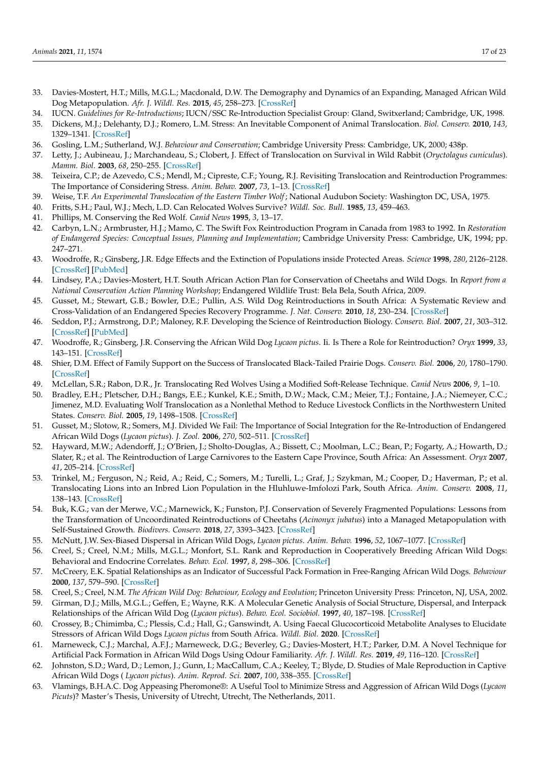- <span id="page-16-0"></span>33. Davies-Mostert, H.T.; Mills, M.G.L.; Macdonald, D.W. The Demography and Dynamics of an Expanding, Managed African Wild Dog Metapopulation. *Afr. J. Wildl. Res.* **2015**, *45*, 258–273. [\[CrossRef\]](http://doi.org/10.3957/056.045.0258)
- <span id="page-16-1"></span>34. IUCN. *Guidelines for Re-Introductions*; IUCN/SSC Re-Introduction Specialist Group: Gland, Switxerland; Cambridge, UK, 1998.
- <span id="page-16-2"></span>35. Dickens, M.J.; Delehanty, D.J.; Romero, L.M. Stress: An Inevitable Component of Animal Translocation. *Biol. Conserv.* **2010**, *143*, 1329–1341. [\[CrossRef\]](http://doi.org/10.1016/j.biocon.2010.02.032)
- <span id="page-16-3"></span>36. Gosling, L.M.; Sutherland, W.J. *Behaviour and Conservation*; Cambridge University Press: Cambridge, UK, 2000; 438p.
- 37. Letty, J.; Aubineau, J.; Marchandeau, S.; Clobert, J. Effect of Translocation on Survival in Wild Rabbit (*Oryctolagus cuniculus*). *Mamm. Biol.* **2003**, *68*, 250–255. [\[CrossRef\]](http://doi.org/10.1078/1616-5047-00092)
- <span id="page-16-4"></span>38. Teixeira, C.P.; de Azevedo, C.S.; Mendl, M.; Cipreste, C.F.; Young, R.J. Revisiting Translocation and Reintroduction Programmes: The Importance of Considering Stress. *Anim. Behav.* **2007**, *73*, 1–13. [\[CrossRef\]](http://doi.org/10.1016/j.anbehav.2006.06.002)
- <span id="page-16-5"></span>39. Weise, T.F. *An Experimental Translocation of the Eastern Timber Wolf*; National Audubon Society: Washington DC, USA, 1975.
- <span id="page-16-6"></span>40. Fritts, S.H.; Paul, W.J.; Mech, L.D. Can Relocated Wolves Survive? *Wildl. Soc. Bull.* **1985**, *13*, 459–463.
- <span id="page-16-7"></span>41. Phillips, M. Conserving the Red Wolf. *Canid News* **1995**, *3*, 13–17.
- <span id="page-16-8"></span>42. Carbyn, L.N.; Armbruster, H.J.; Mamo, C. The Swift Fox Reintroduction Program in Canada from 1983 to 1992. In *Restoration of Endangered Species: Conceptual Issues, Planning and Implementation*; Cambridge University Press: Cambridge, UK, 1994; pp. 247–271.
- <span id="page-16-9"></span>43. Woodroffe, R.; Ginsberg, J.R. Edge Effects and the Extinction of Populations inside Protected Areas. *Science* **1998**, *280*, 2126–2128. [\[CrossRef\]](http://doi.org/10.1126/science.280.5372.2126) [\[PubMed\]](http://www.ncbi.nlm.nih.gov/pubmed/9641920)
- <span id="page-16-10"></span>44. Lindsey, P.A.; Davies-Mostert, H.T. South African Action Plan for Conservation of Cheetahs and Wild Dogs. In *Report from a National Conservation Action Planning Workshop*; Endangered Wildlife Trust: Bela Bela, South Africa, 2009.
- <span id="page-16-11"></span>45. Gusset, M.; Stewart, G.B.; Bowler, D.E.; Pullin, A.S. Wild Dog Reintroductions in South Africa: A Systematic Review and Cross-Validation of an Endangered Species Recovery Programme. *J. Nat. Conserv.* **2010**, *18*, 230–234. [\[CrossRef\]](http://doi.org/10.1016/j.jnc.2009.11.001)
- <span id="page-16-12"></span>46. Seddon, P.J.; Armstrong, D.P.; Maloney, R.F. Developing the Science of Reintroduction Biology. *Conserv. Biol.* **2007**, *21*, 303–312. [\[CrossRef\]](http://doi.org/10.1111/j.1523-1739.2006.00627.x) [\[PubMed\]](http://www.ncbi.nlm.nih.gov/pubmed/17391180)
- <span id="page-16-13"></span>47. Woodroffe, R.; Ginsberg, J.R. Conserving the African Wild Dog *Lycaon pictus*. Ii. Is There a Role for Reintroduction? *Oryx* **1999**, *33*, 143–151. [\[CrossRef\]](http://doi.org/10.1046/j.1365-3008.1999.00053.x)
- <span id="page-16-14"></span>48. Shier, D.M. Effect of Family Support on the Success of Translocated Black-Tailed Prairie Dogs. *Conserv. Biol.* **2006**, *20*, 1780–1790. [\[CrossRef\]](http://doi.org/10.1111/j.1523-1739.2006.00512.x)
- <span id="page-16-15"></span>49. McLellan, S.R.; Rabon, D.R., Jr. Translocating Red Wolves Using a Modified Soft-Release Technique. *Canid News* **2006**, *9*, 1–10.
- <span id="page-16-16"></span>50. Bradley, E.H.; Pletscher, D.H.; Bangs, E.E.; Kunkel, K.E.; Smith, D.W.; Mack, C.M.; Meier, T.J.; Fontaine, J.A.; Niemeyer, C.C.; Jimenez, M.D. Evaluating Wolf Translocation as a Nonlethal Method to Reduce Livestock Conflicts in the Northwestern United States. *Conserv. Biol.* **2005**, *19*, 1498–1508. [\[CrossRef\]](http://doi.org/10.1111/j.1523-1739.2005.00102.x)
- <span id="page-16-17"></span>51. Gusset, M.; Slotow, R.; Somers, M.J. Divided We Fail: The Importance of Social Integration for the Re-Introduction of Endangered African Wild Dogs (*Lycaon pictus*). *J. Zool.* **2006**, *270*, 502–511. [\[CrossRef\]](http://doi.org/10.1111/j.1469-7998.2006.00168.x)
- <span id="page-16-18"></span>52. Hayward, M.W.; Adendorff, J.; O'Brien, J.; Sholto-Douglas, A.; Bissett, C.; Moolman, L.C.; Bean, P.; Fogarty, A.; Howarth, D.; Slater, R.; et al. The Reintroduction of Large Carnivores to the Eastern Cape Province, South Africa: An Assessment. *Oryx* **2007**, *41*, 205–214. [\[CrossRef\]](http://doi.org/10.1017/S0030605307001767)
- 53. Trinkel, M.; Ferguson, N.; Reid, A.; Reid, C.; Somers, M.; Turelli, L.; Graf, J.; Szykman, M.; Cooper, D.; Haverman, P.; et al. Translocating Lions into an Inbred Lion Population in the Hluhluwe-Imfolozi Park, South Africa. *Anim. Conserv.* **2008**, *11*, 138–143. [\[CrossRef\]](http://doi.org/10.1111/j.1469-1795.2008.00163.x)
- <span id="page-16-19"></span>54. Buk, K.G.; van der Merwe, V.C.; Marnewick, K.; Funston, P.J. Conservation of Severely Fragmented Populations: Lessons from the Transformation of Uncoordinated Reintroductions of Cheetahs (*Acinonyx jubatus*) into a Managed Metapopulation with Self-Sustained Growth. *Biodivers. Conserv.* **2018**, *27*, 3393–3423. [\[CrossRef\]](http://doi.org/10.1007/s10531-018-1606-y)
- <span id="page-16-20"></span>55. McNutt, J.W. Sex-Biased Dispersal in African Wild Dogs, *Lycaon pictus*. *Anim. Behav.* **1996**, *52*, 1067–1077. [\[CrossRef\]](http://doi.org/10.1006/anbe.1996.0254)
- <span id="page-16-21"></span>56. Creel, S.; Creel, N.M.; Mills, M.G.L.; Monfort, S.L. Rank and Reproduction in Cooperatively Breeding African Wild Dogs: Behavioral and Endocrine Correlates. *Behav. Ecol.* **1997**, *8*, 298–306. [\[CrossRef\]](http://doi.org/10.1093/beheco/8.3.298)
- <span id="page-16-22"></span>57. McCreery, E.K. Spatial Relationships as an Indicator of Successful Pack Formation in Free-Ranging African Wild Dogs. *Behaviour* **2000**, *137*, 579–590. [\[CrossRef\]](http://doi.org/10.1163/156853900502222)
- <span id="page-16-23"></span>58. Creel, S.; Creel, N.M. *The African Wild Dog: Behaviour, Ecology and Evolution*; Princeton University Press: Princeton, NJ, USA, 2002.
- <span id="page-16-24"></span>59. Girman, D.J.; Mills, M.G.L.; Geffen, E.; Wayne, R.K. A Molecular Genetic Analysis of Social Structure, Dispersal, and Interpack Relationships of the African Wild Dog (*Lycaon pictus*). *Behav. Ecol. Sociobiol.* **1997**, *40*, 187–198. [\[CrossRef\]](http://doi.org/10.1007/s002650050332)
- <span id="page-16-25"></span>60. Crossey, B.; Chimimba, C.; Plessis, C.d.; Hall, G.; Ganswindt, A. Using Faecal Glucocorticoid Metabolite Analyses to Elucidate Stressors of African Wild Dogs *Lycaon pictus* from South Africa. *Wildl. Biol.* **2020**. [\[CrossRef\]](http://doi.org/10.2981/wlb.00646)
- <span id="page-16-26"></span>61. Marneweck, C.J.; Marchal, A.F.J.; Marneweck, D.G.; Beverley, G.; Davies-Mostert, H.T.; Parker, D.M. A Novel Technique for Artificial Pack Formation in African Wild Dogs Using Odour Familiarity. *Afr. J. Wildl. Res.* **2019**, *49*, 116–120. [\[CrossRef\]](http://doi.org/10.3957/056.049.0116)
- <span id="page-16-27"></span>62. Johnston, S.D.; Ward, D.; Lemon, J.; Gunn, I.; MacCallum, C.A.; Keeley, T.; Blyde, D. Studies of Male Reproduction in Captive African Wild Dogs ( *Lycaon pictus*). *Anim. Reprod. Sci.* **2007**, *100*, 338–355. [\[CrossRef\]](http://doi.org/10.1016/j.anireprosci.2006.08.017)
- <span id="page-16-28"></span>63. Vlamings, B.H.A.C. Dog Appeasing Pheromone®: A Useful Tool to Minimize Stress and Aggression of African Wild Dogs (*Lycaon Picuts*)? Master's Thesis, University of Utrecht, Utrecht, The Netherlands, 2011.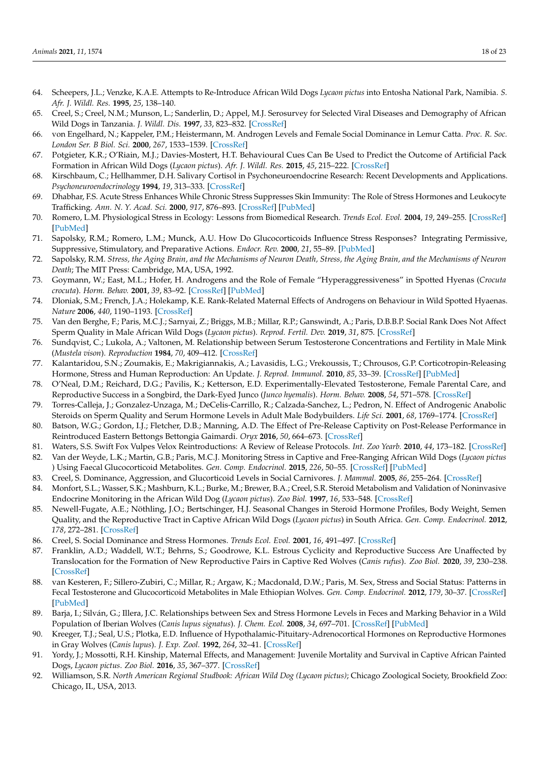- <span id="page-17-0"></span>64. Scheepers, J.L.; Venzke, K.A.E. Attempts to Re-Introduce African Wild Dogs *Lycaon pictus* into Entosha National Park, Namibia. *S. Afr. J. Wildl. Res.* **1995**, *25*, 138–140.
- <span id="page-17-1"></span>65. Creel, S.; Creel, N.M.; Munson, L.; Sanderlin, D.; Appel, M.J. Serosurvey for Selected Viral Diseases and Demography of African Wild Dogs in Tanzania. *J. Wildl. Dis.* **1997**, *33*, 823–832. [\[CrossRef\]](http://doi.org/10.7589/0090-3558-33.4.823)
- <span id="page-17-2"></span>66. von Engelhard, N.; Kappeler, P.M.; Heistermann, M. Androgen Levels and Female Social Dominance in Lemur Catta. *Proc. R. Soc. London Ser. B Biol. Sci.* **2000**, *267*, 1533–1539. [\[CrossRef\]](http://doi.org/10.1098/rspb.2000.1175)
- <span id="page-17-3"></span>67. Potgieter, K.R.; O'Riain, M.J.; Davies-Mostert, H.T. Behavioural Cues Can Be Used to Predict the Outcome of Artificial Pack Formation in African Wild Dogs (*Lycaon pictus*). *Afr. J. Wildl. Res.* **2015**, *45*, 215–222. [\[CrossRef\]](http://doi.org/10.3957/056.045.0215)
- <span id="page-17-4"></span>68. Kirschbaum, C.; Hellhammer, D.H. Salivary Cortisol in Psychoneuroendocrine Research: Recent Developments and Applications. *Psychoneuroendocrinology* **1994**, *19*, 313–333. [\[CrossRef\]](http://doi.org/10.1016/0306-4530(94)90013-2)
- <span id="page-17-5"></span>69. Dhabhar, F.S. Acute Stress Enhances While Chronic Stress Suppresses Skin Immunity: The Role of Stress Hormones and Leukocyte Trafficking. *Ann. N. Y. Acad. Sci.* **2000**, *917*, 876–893. [\[CrossRef\]](http://doi.org/10.1111/j.1749-6632.2000.tb05454.x) [\[PubMed\]](http://www.ncbi.nlm.nih.gov/pubmed/11268419)
- <span id="page-17-6"></span>70. Romero, L.M. Physiological Stress in Ecology: Lessons from Biomedical Research. *Trends Ecol. Evol.* **2004**, *19*, 249–255. [\[CrossRef\]](http://doi.org/10.1016/j.tree.2004.03.008) [\[PubMed\]](http://www.ncbi.nlm.nih.gov/pubmed/16701264)
- <span id="page-17-7"></span>71. Sapolsky, R.M.; Romero, L.M.; Munck, A.U. How Do Glucocorticoids Influence Stress Responses? Integrating Permissive, Suppressive, Stimulatory, and Preparative Actions. *Endocr. Rev.* **2000**, *21*, 55–89. [\[PubMed\]](http://www.ncbi.nlm.nih.gov/pubmed/10696570)
- <span id="page-17-8"></span>72. Sapolsky, R.M. *Stress, the Aging Brain, and the Mechanisms of Neuron Death, Stress, the Aging Brain, and the Mechanisms of Neuron Death*; The MIT Press: Cambridge, MA, USA, 1992.
- <span id="page-17-9"></span>73. Goymann, W.; East, M.L.; Hofer, H. Androgens and the Role of Female "Hyperaggressiveness" in Spotted Hyenas (*Crocuta crocuta*). *Horm. Behav.* **2001**, *39*, 83–92. [\[CrossRef\]](http://doi.org/10.1006/hbeh.2000.1634) [\[PubMed\]](http://www.ncbi.nlm.nih.gov/pubmed/11161886)
- <span id="page-17-10"></span>74. Dloniak, S.M.; French, J.A.; Holekamp, K.E. Rank-Related Maternal Effects of Androgens on Behaviour in Wild Spotted Hyaenas. *Nature* **2006**, *440*, 1190–1193. [\[CrossRef\]](http://doi.org/10.1038/nature04540)
- <span id="page-17-11"></span>75. Van den Berghe, F.; Paris, M.C.J.; Sarnyai, Z.; Briggs, M.B.; Millar, R.P.; Ganswindt, A.; Paris, D.B.B.P. Social Rank Does Not Affect Sperm Quality in Male African Wild Dogs (*Lycaon pictus*). *Reprod. Fertil. Dev.* **2019**, *31*, 875. [\[CrossRef\]](http://doi.org/10.1071/RD18205)
- <span id="page-17-12"></span>76. Sundqvist, C.; Lukola, A.; Valtonen, M. Relationship between Serum Testosterone Concentrations and Fertility in Male Mink (*Mustela vison*). *Reproduction* **1984**, *70*, 409–412. [\[CrossRef\]](http://doi.org/10.1530/jrf.0.0700409)
- 77. Kalantaridou, S.N.; Zoumakis, E.; Makrigiannakis, A.; Lavasidis, L.G.; Vrekoussis, T.; Chrousos, G.P. Corticotropin-Releasing Hormone, Stress and Human Reproduction: An Update. *J. Reprod. Immunol.* **2010**, *85*, 33–39. [\[CrossRef\]](http://doi.org/10.1016/j.jri.2010.02.005) [\[PubMed\]](http://www.ncbi.nlm.nih.gov/pubmed/20412987)
- 78. O'Neal, D.M.; Reichard, D.G.; Pavilis, K.; Ketterson, E.D. Experimentally-Elevated Testosterone, Female Parental Care, and Reproductive Success in a Songbird, the Dark-Eyed Junco (*Junco hyemalis*). *Horm. Behav.* **2008**, *54*, 571–578. [\[CrossRef\]](http://doi.org/10.1016/j.yhbeh.2008.05.017)
- <span id="page-17-13"></span>79. Torres-Calleja, J.; Gonzalez-Unzaga, M.; DeCelis-Carrillo, R.; Calzada-Sanchez, L.; Pedron, N. Effect of Androgenic Anabolic Steroids on Sperm Quality and Serum Hormone Levels in Adult Male Bodybuilders. *Life Sci.* **2001**, *68*, 1769–1774. [\[CrossRef\]](http://doi.org/10.1016/S0024-3205(01)00972-9)
- <span id="page-17-14"></span>80. Batson, W.G.; Gordon, I.J.; Fletcher, D.B.; Manning, A.D. The Effect of Pre-Release Captivity on Post-Release Performance in Reintroduced Eastern Bettongs Bettongia Gaimardi. *Oryx* **2016**, *50*, 664–673. [\[CrossRef\]](http://doi.org/10.1017/S0030605315000496)
- <span id="page-17-15"></span>81. Waters, S.S. Swift Fox Vulpes Velox Reintroductions: A Review of Release Protocols. *Int. Zoo Yearb.* **2010**, *44*, 173–182. [\[CrossRef\]](http://doi.org/10.1111/j.1748-1090.2009.00091.x)
- <span id="page-17-16"></span>82. Van der Weyde, L.K.; Martin, G.B.; Paris, M.C.J. Monitoring Stress in Captive and Free-Ranging African Wild Dogs (*Lycaon pictus* ) Using Faecal Glucocorticoid Metabolites. *Gen. Comp. Endocrinol.* **2015**, *226*, 50–55. [\[CrossRef\]](http://doi.org/10.1016/j.ygcen.2015.12.022) [\[PubMed\]](http://www.ncbi.nlm.nih.gov/pubmed/26723188)
- <span id="page-17-17"></span>83. Creel, S. Dominance, Aggression, and Glucorticoid Levels in Social Carnivores. *J. Mammal.* **2005**, *86*, 255–264. [\[CrossRef\]](http://doi.org/10.1644/BHE-002.1)
- <span id="page-17-18"></span>84. Monfort, S.L.; Wasser, S.K.; Mashburn, K.L.; Burke, M.; Brewer, B.A.; Creel, S.R. Steroid Metabolism and Validation of Noninvasive Endocrine Monitoring in the African Wild Dog (*Lycaon pictus*). *Zoo Biol.* **1997**, *16*, 533–548. [\[CrossRef\]](http://doi.org/10.1002/(SICI)1098-2361(1997)16:6<533::AID-ZOO6>3.0.CO;2-B)
- <span id="page-17-19"></span>85. Newell-Fugate, A.E.; Nöthling, J.O.; Bertschinger, H.J. Seasonal Changes in Steroid Hormone Profiles, Body Weight, Semen Quality, and the Reproductive Tract in Captive African Wild Dogs (*Lycaon pictus*) in South Africa. *Gen. Comp. Endocrinol.* **2012**, *178*, 272–281. [\[CrossRef\]](http://doi.org/10.1016/j.ygcen.2012.05.008)
- <span id="page-17-20"></span>86. Creel, S. Social Dominance and Stress Hormones. *Trends Ecol. Evol.* **2001**, *16*, 491–497. [\[CrossRef\]](http://doi.org/10.1016/S0169-5347(01)02227-3)
- <span id="page-17-21"></span>87. Franklin, A.D.; Waddell, W.T.; Behrns, S.; Goodrowe, K.L. Estrous Cyclicity and Reproductive Success Are Unaffected by Translocation for the Formation of New Reproductive Pairs in Captive Red Wolves (*Canis rufus*). *Zoo Biol.* **2020**, *39*, 230–238. [\[CrossRef\]](http://doi.org/10.1002/zoo.21551)
- <span id="page-17-22"></span>88. van Kesteren, F.; Sillero-Zubiri, C.; Millar, R.; Argaw, K.; Macdonald, D.W.; Paris, M. Sex, Stress and Social Status: Patterns in Fecal Testosterone and Glucocorticoid Metabolites in Male Ethiopian Wolves. *Gen. Comp. Endocrinol.* **2012**, *179*, 30–37. [\[CrossRef\]](http://doi.org/10.1016/j.ygcen.2012.07.016) [\[PubMed\]](http://www.ncbi.nlm.nih.gov/pubmed/22841807)
- 89. Barja, I.; Silván, G.; Illera, J.C. Relationships between Sex and Stress Hormone Levels in Feces and Marking Behavior in a Wild Population of Iberian Wolves (*Canis lupus signatus*). *J. Chem. Ecol.* **2008**, *34*, 697–701. [\[CrossRef\]](http://doi.org/10.1007/s10886-008-9460-0) [\[PubMed\]](http://www.ncbi.nlm.nih.gov/pubmed/18392658)
- <span id="page-17-23"></span>90. Kreeger, T.J.; Seal, U.S.; Plotka, E.D. Influence of Hypothalamic-Pituitary-Adrenocortical Hormones on Reproductive Hormones in Gray Wolves (*Canis lupus*). *J. Exp. Zool.* **1992**, *264*, 32–41. [\[CrossRef\]](http://doi.org/10.1002/jez.1402640106)
- <span id="page-17-24"></span>91. Yordy, J.; Mossotti, R.H. Kinship, Maternal Effects, and Management: Juvenile Mortality and Survival in Captive African Painted Dogs, *Lycaon pictus*. *Zoo Biol.* **2016**, *35*, 367–377. [\[CrossRef\]](http://doi.org/10.1002/zoo.21306)
- <span id="page-17-25"></span>92. Williamson, S.R. *North American Regional Studbook: African Wild Dog (Lycaon pictus)*; Chicago Zoological Society, Brookfield Zoo: Chicago, IL, USA, 2013.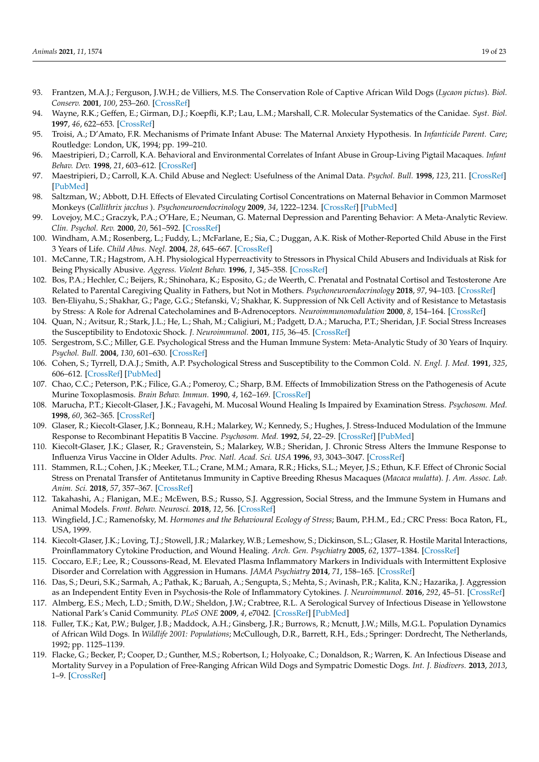- <span id="page-18-0"></span>93. Frantzen, M.A.J.; Ferguson, J.W.H.; de Villiers, M.S. The Conservation Role of Captive African Wild Dogs (*Lycaon pictus*). *Biol. Conserv.* **2001**, *100*, 253–260. [\[CrossRef\]](http://doi.org/10.1016/S0006-3207(01)00046-5)
- <span id="page-18-1"></span>94. Wayne, R.K.; Geffen, E.; Girman, D.J.; Koepfli, K.P.; Lau, L.M.; Marshall, C.R. Molecular Systematics of the Canidae. *Syst. Biol.* **1997**, *46*, 622–653. [\[CrossRef\]](http://doi.org/10.1093/sysbio/46.4.622)
- <span id="page-18-2"></span>95. Troisi, A.; D'Amato, F.R. Mechanisms of Primate Infant Abuse: The Maternal Anxiety Hypothesis. In *Infanticide Parent. Care*; Routledge: London, UK, 1994; pp. 199–210.
- 96. Maestripieri, D.; Carroll, K.A. Behavioral and Environmental Correlates of Infant Abuse in Group-Living Pigtail Macaques. *Infant Behav. Dev.* **1998**, *21*, 603–612. [\[CrossRef\]](http://doi.org/10.1016/S0163-6383(98)90032-7)
- 97. Maestripieri, D.; Carroll, K.A. Child Abuse and Neglect: Usefulness of the Animal Data. *Psychol. Bull.* **1998**, *123*, 211. [\[CrossRef\]](http://doi.org/10.1037/0033-2909.123.3.211) [\[PubMed\]](http://www.ncbi.nlm.nih.gov/pubmed/9602555)
- <span id="page-18-3"></span>98. Saltzman, W.; Abbott, D.H. Effects of Elevated Circulating Cortisol Concentrations on Maternal Behavior in Common Marmoset Monkeys (*Callithrix jacchus* ). *Psychoneuroendocrinology* **2009**, *34*, 1222–1234. [\[CrossRef\]](http://doi.org/10.1016/j.psyneuen.2009.03.012) [\[PubMed\]](http://www.ncbi.nlm.nih.gov/pubmed/19362777)
- <span id="page-18-4"></span>99. Lovejoy, M.C.; Graczyk, P.A.; O'Hare, E.; Neuman, G. Maternal Depression and Parenting Behavior: A Meta-Analytic Review. *Clin. Psychol. Rev.* **2000**, *20*, 561–592. [\[CrossRef\]](http://doi.org/10.1016/S0272-7358(98)00100-7)
- <span id="page-18-5"></span>100. Windham, A.M.; Rosenberg, L.; Fuddy, L.; McFarlane, E.; Sia, C.; Duggan, A.K. Risk of Mother-Reported Child Abuse in the First 3 Years of Life. *Child Abus. Negl.* **2004**, *28*, 645–667. [\[CrossRef\]](http://doi.org/10.1016/j.chiabu.2004.01.003)
- <span id="page-18-6"></span>101. McCanne, T.R.; Hagstrom, A.H. Physiological Hyperreactivity to Stressors in Physical Child Abusers and Individuals at Risk for Being Physically Abusive. *Aggress. Violent Behav.* **1996**, *1*, 345–358. [\[CrossRef\]](http://doi.org/10.1016/S1359-1789(96)00004-3)
- <span id="page-18-7"></span>102. Bos, P.A.; Hechler, C.; Beijers, R.; Shinohara, K.; Esposito, G.; de Weerth, C. Prenatal and Postnatal Cortisol and Testosterone Are Related to Parental Caregiving Quality in Fathers, but Not in Mothers. *Psychoneuroendocrinology* **2018**, *97*, 94–103. [\[CrossRef\]](http://doi.org/10.1016/j.psyneuen.2018.07.013)
- <span id="page-18-8"></span>103. Ben-Eliyahu, S.; Shakhar, G.; Page, G.G.; Stefanski, V.; Shakhar, K. Suppression of Nk Cell Activity and of Resistance to Metastasis by Stress: A Role for Adrenal Catecholamines and B-Adrenoceptors. *Neuroimmunomodulation* **2000**, *8*, 154–164. [\[CrossRef\]](http://doi.org/10.1159/000054276)
- <span id="page-18-9"></span>104. Quan, N.; Avitsur, R.; Stark, J.L.; He, L.; Shah, M.; Caligiuri, M.; Padgett, D.A.; Marucha, P.T.; Sheridan, J.F. Social Stress Increases the Susceptibility to Endotoxic Shock. *J. Neuroimmunol.* **2001**, *115*, 36–45. [\[CrossRef\]](http://doi.org/10.1016/S0165-5728(01)00273-9)
- <span id="page-18-10"></span>105. Sergestrom, S.C.; Miller, G.E. Psychological Stress and the Human Immune System: Meta-Analytic Study of 30 Years of Inquiry. *Psychol. Bull.* **2004**, *130*, 601–630. [\[CrossRef\]](http://doi.org/10.1037/0033-2909.130.4.601)
- <span id="page-18-11"></span>106. Cohen, S.; Tyrrell, D.A.J.; Smith, A.P. Psychological Stress and Susceptibility to the Common Cold. *N. Engl. J. Med.* **1991**, *325*, 606–612. [\[CrossRef\]](http://doi.org/10.1056/NEJM199108293250903) [\[PubMed\]](http://www.ncbi.nlm.nih.gov/pubmed/1713648)
- <span id="page-18-12"></span>107. Chao, C.C.; Peterson, P.K.; Filice, G.A.; Pomeroy, C.; Sharp, B.M. Effects of Immobilization Stress on the Pathogenesis of Acute Murine Toxoplasmosis. *Brain Behav. Immun.* **1990**, *4*, 162–169. [\[CrossRef\]](http://doi.org/10.1016/0889-1591(90)90018-L)
- <span id="page-18-13"></span>108. Marucha, P.T.; Kiecolt-Glaser, J.K.; Favagehi, M. Mucosal Wound Healing Is Impaired by Examination Stress. *Psychosom. Med.* **1998**, *60*, 362–365. [\[CrossRef\]](http://doi.org/10.1097/00006842-199805000-00025)
- <span id="page-18-14"></span>109. Glaser, R.; Kiecolt-Glaser, J.K.; Bonneau, R.H.; Malarkey, W.; Kennedy, S.; Hughes, J. Stress-Induced Modulation of the Immune Response to Recombinant Hepatitis B Vaccine. *Psychosom. Med.* **1992**, *54*, 22–29. [\[CrossRef\]](http://doi.org/10.1097/00006842-199201000-00005) [\[PubMed\]](http://www.ncbi.nlm.nih.gov/pubmed/1553399)
- 110. Kiecolt-Glaser, J.K.; Glaser, R.; Gravenstein, S.; Malarkey, W.B.; Sheridan, J. Chronic Stress Alters the Immune Response to Influenza Virus Vaccine in Older Adults. *Proc. Natl. Acad. Sci. USA* **1996**, *93*, 3043–3047. [\[CrossRef\]](http://doi.org/10.1073/pnas.93.7.3043)
- <span id="page-18-15"></span>111. Stammen, R.L.; Cohen, J.K.; Meeker, T.L.; Crane, M.M.; Amara, R.R.; Hicks, S.L.; Meyer, J.S.; Ethun, K.F. Effect of Chronic Social Stress on Prenatal Transfer of Antitetanus Immunity in Captive Breeding Rhesus Macaques (*Macaca mulatta*). *J. Am. Assoc. Lab. Anim. Sci.* **2018**, *57*, 357–367. [\[CrossRef\]](http://doi.org/10.30802/AALAS-JAALAS-17-000102)
- <span id="page-18-16"></span>112. Takahashi, A.; Flanigan, M.E.; McEwen, B.S.; Russo, S.J. Aggression, Social Stress, and the Immune System in Humans and Animal Models. *Front. Behav. Neurosci.* **2018**, *12*, 56. [\[CrossRef\]](http://doi.org/10.3389/fnbeh.2018.00056)
- <span id="page-18-17"></span>113. Wingfield, J.C.; Ramenofsky, M. *Hormones and the Behavioural Ecology of Stress*; Baum, P.H.M., Ed.; CRC Press: Boca Raton, FL, USA, 1999.
- <span id="page-18-18"></span>114. Kiecolt-Glaser, J.K.; Loving, T.J.; Stowell, J.R.; Malarkey, W.B.; Lemeshow, S.; Dickinson, S.L.; Glaser, R. Hostile Marital Interactions, Proinflammatory Cytokine Production, and Wound Healing. *Arch. Gen. Psychiatry* **2005**, *62*, 1377–1384. [\[CrossRef\]](http://doi.org/10.1001/archpsyc.62.12.1377)
- 115. Coccaro, E.F.; Lee, R.; Coussons-Read, M. Elevated Plasma Inflammatory Markers in Individuals with Intermittent Explosive Disorder and Correlation with Aggression in Humans. *JAMA Psychiatry* **2014**, *71*, 158–165. [\[CrossRef\]](http://doi.org/10.1001/jamapsychiatry.2013.3297)
- <span id="page-18-19"></span>116. Das, S.; Deuri, S.K.; Sarmah, A.; Pathak, K.; Baruah, A.; Sengupta, S.; Mehta, S.; Avinash, P.R.; Kalita, K.N.; Hazarika, J. Aggression as an Independent Entity Even in Psychosis-the Role of Inflammatory Cytokines. *J. Neuroimmunol.* **2016**, *292*, 45–51. [\[CrossRef\]](http://doi.org/10.1016/j.jneuroim.2016.01.012)
- <span id="page-18-20"></span>117. Almberg, E.S.; Mech, L.D.; Smith, D.W.; Sheldon, J.W.; Crabtree, R.L. A Serological Survey of Infectious Disease in Yellowstone National Park's Canid Community. *PLoS ONE* **2009**, *4*, e7042. [\[CrossRef\]](http://doi.org/10.1371/journal.pone.0007042) [\[PubMed\]](http://www.ncbi.nlm.nih.gov/pubmed/19756151)
- <span id="page-18-21"></span>118. Fuller, T.K.; Kat, P.W.; Bulger, J.B.; Maddock, A.H.; Ginsberg, J.R.; Burrows, R.; Mcnutt, J.W.; Mills, M.G.L. Population Dynamics of African Wild Dogs. In *Wildlife 2001: Populations*; McCullough, D.R., Barrett, R.H., Eds.; Springer: Dordrecht, The Netherlands, 1992; pp. 1125–1139.
- <span id="page-18-22"></span>119. Flacke, G.; Becker, P.; Cooper, D.; Gunther, M.S.; Robertson, I.; Holyoake, C.; Donaldson, R.; Warren, K. An Infectious Disease and Mortality Survey in a Population of Free-Ranging African Wild Dogs and Sympatric Domestic Dogs. *Int. J. Biodivers.* **2013**, *2013*, 1–9. [\[CrossRef\]](http://doi.org/10.1155/2013/497623)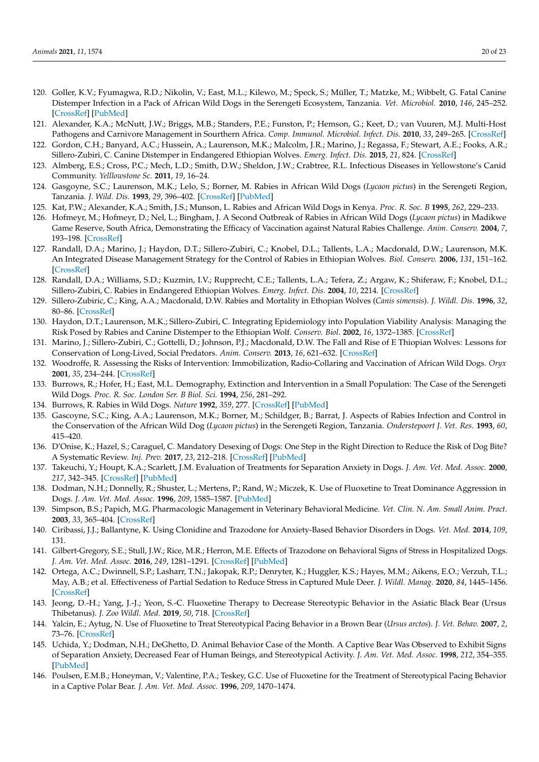- <span id="page-19-0"></span>120. Goller, K.V.; Fyumagwa, R.D.; Nikolin, V.; East, M.L.; Kilewo, M.; Speck, S.; Müller, T.; Matzke, M.; Wibbelt, G. Fatal Canine Distemper Infection in a Pack of African Wild Dogs in the Serengeti Ecosystem, Tanzania. *Vet. Microbiol.* **2010**, *146*, 245–252. [\[CrossRef\]](http://doi.org/10.1016/j.vetmic.2010.05.018) [\[PubMed\]](http://www.ncbi.nlm.nih.gov/pubmed/20684868)
- <span id="page-19-1"></span>121. Alexander, K.A.; McNutt, J.W.; Briggs, M.B.; Standers, P.E.; Funston, P.; Hemson, G.; Keet, D.; van Vuuren, M.J. Multi-Host Pathogens and Carnivore Management in Sourthern Africa. *Comp. Immunol. Microbiol. Infect. Dis.* **2010**, *33*, 249–265. [\[CrossRef\]](http://doi.org/10.1016/j.cimid.2008.10.005)
- <span id="page-19-2"></span>122. Gordon, C.H.; Banyard, A.C.; Hussein, A.; Laurenson, M.K.; Malcolm, J.R.; Marino, J.; Regassa, F.; Stewart, A.E.; Fooks, A.R.; Sillero-Zubiri, C. Canine Distemper in Endangered Ethiopian Wolves. *Emerg. Infect. Dis.* **2015**, *21*, 824. [\[CrossRef\]](http://doi.org/10.3201/eid2105.141920)
- <span id="page-19-3"></span>123. Almberg, E.S.; Cross, P.C.; Mech, L.D.; Smith, D.W.; Sheldon, J.W.; Crabtree, R.L. Infectious Diseases in Yellowstone's Canid Community. *Yelllowstone Sc.* **2011**, *19*, 16–24.
- <span id="page-19-4"></span>124. Gasgoyne, S.C.; Laurenson, M.K.; Lelo, S.; Borner, M. Rabies in African Wild Dogs (*Lycaon pictus*) in the Serengeti Region, Tanzania. *J. Wild. Dis.* **1993**, *29*, 396–402. [\[CrossRef\]](http://doi.org/10.7589/0090-3558-29.3.396) [\[PubMed\]](http://www.ncbi.nlm.nih.gov/pubmed/8355341)
- <span id="page-19-8"></span>125. Kat, P.W.; Alexander, K.A.; Smith, J.S.; Munson, L. Rabies and African Wild Dogs in Kenya. *Proc. R. Soc. B* **1995**, *262*, 229–233.
- <span id="page-19-5"></span>126. Hofmeyr, M.; Hofmeyr, D.; Nel, L.; Bingham, J. A Second Outbreak of Rabies in African Wild Dogs (*Lycaon pictus*) in Madikwe Game Reserve, South Africa, Demonstrating the Efficacy of Vaccination against Natural Rabies Challenge. *Anim. Conserv.* **2004**, *7*, 193–198. [\[CrossRef\]](http://doi.org/10.1017/S1367943004001234)
- <span id="page-19-6"></span>127. Randall, D.A.; Marino, J.; Haydon, D.T.; Sillero-Zubiri, C.; Knobel, D.L.; Tallents, L.A.; Macdonald, D.W.; Laurenson, M.K. An Integrated Disease Management Strategy for the Control of Rabies in Ethiopian Wolves. *Biol. Conserv.* **2006**, *131*, 151–162. [\[CrossRef\]](http://doi.org/10.1016/j.biocon.2006.04.004)
- 128. Randall, D.A.; Williams, S.D.; Kuzmin, I.V.; Rupprecht, C.E.; Tallents, L.A.; Tefera, Z.; Argaw, K.; Shiferaw, F.; Knobel, D.L.; Sillero-Zubiri, C. Rabies in Endangered Ethiopian Wolves. *Emerg. Infect. Dis.* **2004**, *10*, 2214. [\[CrossRef\]](http://doi.org/10.3201/eid1012.040080)
- 129. Sillero-Zubiric, C.; King, A.A.; Macdonald, D.W. Rabies and Mortality in Ethopian Wolves (*Canis simensis*). *J. Wildl. Dis.* **1996**, *32*, 80–86. [\[CrossRef\]](http://doi.org/10.7589/0090-3558-32.1.80)
- 130. Haydon, D.T.; Laurenson, M.K.; Sillero-Zubiri, C. Integrating Epidemiology into Population Viability Analysis: Managing the Risk Posed by Rabies and Canine Distemper to the Ethiopian Wolf. *Conserv. Biol.* **2002**, *16*, 1372–1385. [\[CrossRef\]](http://doi.org/10.1046/j.1523-1739.2002.00559.x)
- <span id="page-19-7"></span>131. Marino, J.; Sillero-Zubiri, C.; Gottelli, D.; Johnson, P.J.; Macdonald, D.W. The Fall and Rise of E Thiopian Wolves: Lessons for Conservation of Long-Lived, Social Predators. *Anim. Conserv.* **2013**, *16*, 621–632. [\[CrossRef\]](http://doi.org/10.1111/acv.12036)
- <span id="page-19-9"></span>132. Woodroffe, R. Assessing the Risks of Intervention: Immobilization, Radio-Collaring and Vaccination of African Wild Dogs. *Oryx* **2001**, *35*, 234–244. [\[CrossRef\]](http://doi.org/10.1046/j.1365-3008.2001.00186.x)
- 133. Burrows, R.; Hofer, H.; East, M.L. Demography, Extinction and Intervention in a Small Population: The Case of the Serengeti Wild Dogs. *Proc. R. Soc. London Ser. B Biol. Sci.* **1994**, *256*, 281–292.
- 134. Burrows, R. Rabies in Wild Dogs. *Nature* **1992**, *359*, 277. [\[CrossRef\]](http://doi.org/10.1038/359277a0) [\[PubMed\]](http://www.ncbi.nlm.nih.gov/pubmed/1406930)
- <span id="page-19-10"></span>135. Gascoyne, S.C.; King, A.A.; Laurenson, M.K.; Borner, M.; Schildger, B.; Barrat, J. Aspects of Rabies Infection and Control in the Conservation of the African Wild Dog (*Lycaon pictus*) in the Serengeti Region, Tanzania. *Onderstepoort J. Vet. Res.* **1993**, *60*, 415–420.
- <span id="page-19-11"></span>136. D'Onise, K.; Hazel, S.; Caraguel, C. Mandatory Desexing of Dogs: One Step in the Right Direction to Reduce the Risk of Dog Bite? A Systematic Review. *Inj. Prev.* **2017**, *23*, 212–218. [\[CrossRef\]](http://doi.org/10.1136/injuryprev-2016-042141) [\[PubMed\]](http://www.ncbi.nlm.nih.gov/pubmed/28130398)
- <span id="page-19-12"></span>137. Takeuchi, Y.; Houpt, K.A.; Scarlett, J.M. Evaluation of Treatments for Separation Anxiety in Dogs. *J. Am. Vet. Med. Assoc.* **2000**, *217*, 342–345. [\[CrossRef\]](http://doi.org/10.2460/javma.2000.217.342) [\[PubMed\]](http://www.ncbi.nlm.nih.gov/pubmed/10935036)
- <span id="page-19-13"></span>138. Dodman, N.H.; Donnelly, R.; Shuster, L.; Mertens, P.; Rand, W.; Miczek, K. Use of Fluoxetine to Treat Dominance Aggression in Dogs. *J. Am. Vet. Med. Assoc.* **1996**, *209*, 1585–1587. [\[PubMed\]](http://www.ncbi.nlm.nih.gov/pubmed/8899022)
- <span id="page-19-14"></span>139. Simpson, B.S.; Papich, M.G. Pharmacologic Management in Veterinary Behavioral Medicine. *Vet. Clin. N. Am. Small Anim. Pract.* **2003**, *33*, 365–404. [\[CrossRef\]](http://doi.org/10.1016/S0195-5616(02)00130-4)
- <span id="page-19-15"></span>140. Ciribassi, J.J.; Ballantyne, K. Using Clonidine and Trazodone for Anxiety-Based Behavior Disorders in Dogs. *Vet. Med.* **2014**, *109*, 131.
- <span id="page-19-16"></span>141. Gilbert-Gregory, S.E.; Stull, J.W.; Rice, M.R.; Herron, M.E. Effects of Trazodone on Behavioral Signs of Stress in Hospitalized Dogs. *J. Am. Vet. Med. Assoc.* **2016**, *249*, 1281–1291. [\[CrossRef\]](http://doi.org/10.2460/javma.249.11.1281) [\[PubMed\]](http://www.ncbi.nlm.nih.gov/pubmed/27875082)
- <span id="page-19-17"></span>142. Ortega, A.C.; Dwinnell, S.P.; Lasharr, T.N.; Jakopak, R.P.; Denryter, K.; Huggler, K.S.; Hayes, M.M.; Aikens, E.O.; Verzuh, T.L.; May, A.B.; et al. Effectiveness of Partial Sedation to Reduce Stress in Captured Mule Deer. *J. Wildl. Manag.* **2020**, *84*, 1445–1456. [\[CrossRef\]](http://doi.org/10.1002/jwmg.21929)
- <span id="page-19-18"></span>143. Jeong, D.-H.; Yang, J.-J.; Yeon, S.-C. Fluoxetine Therapy to Decrease Stereotypic Behavior in the Asiatic Black Bear (Ursus Thibetanus). *J. Zoo Wildl. Med.* **2019**, *50*, 718. [\[CrossRef\]](http://doi.org/10.1638/2017-0160)
- <span id="page-19-19"></span>144. Yalcin, E.; Aytug, N. Use of Fluoxetine to Treat Stereotypical Pacing Behavior in a Brown Bear (*Ursus arctos*). *J. Vet. Behav.* **2007**, *2*, 73–76. [\[CrossRef\]](http://doi.org/10.1016/j.jveb.2007.04.001)
- <span id="page-19-20"></span>145. Uchida, Y.; Dodman, N.H.; DeGhetto, D. Animal Behavior Case of the Month. A Captive Bear Was Observed to Exhibit Signs of Separation Anxiety, Decreased Fear of Human Beings, and Stereotypical Activity. *J. Am. Vet. Med. Assoc.* **1998**, *212*, 354–355. [\[PubMed\]](http://www.ncbi.nlm.nih.gov/pubmed/9470041)
- <span id="page-19-21"></span>146. Poulsen, E.M.B.; Honeyman, V.; Valentine, P.A.; Teskey, G.C. Use of Fluoxetine for the Treatment of Stereotypical Pacing Behavior in a Captive Polar Bear. *J. Am. Vet. Med. Assoc.* **1996**, *209*, 1470–1474.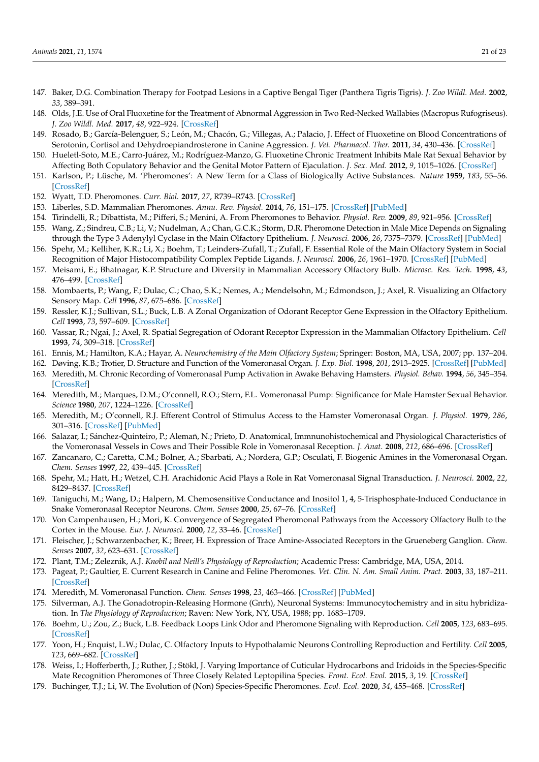- <span id="page-20-0"></span>147. Baker, D.G. Combination Therapy for Footpad Lesions in a Captive Bengal Tiger (Panthera Tigris Tigris). *J. Zoo Wildl. Med.* **2002**, *33*, 389–391.
- <span id="page-20-1"></span>148. Olds, J.E. Use of Oral Fluoxetine for the Treatment of Abnormal Aggression in Two Red-Necked Wallabies (Macropus Rufogriseus). *J. Zoo Wildl. Med.* **2017**, *48*, 922–924. [\[CrossRef\]](http://doi.org/10.1638/2016-0023.1)
- <span id="page-20-2"></span>149. Rosado, B.; García-Belenguer, S.; León, M.; Chacón, G.; Villegas, A.; Palacio, J. Effect of Fluoxetine on Blood Concentrations of Serotonin, Cortisol and Dehydroepiandrosterone in Canine Aggression. *J. Vet. Pharmacol. Ther.* **2011**, *34*, 430–436. [\[CrossRef\]](http://doi.org/10.1111/j.1365-2885.2010.01254.x)
- <span id="page-20-3"></span>150. Hueletl-Soto, M.E.; Carro-Juárez, M.; Rodríguez-Manzo, G. Fluoxetine Chronic Treatment Inhibits Male Rat Sexual Behavior by Affecting Both Copulatory Behavior and the Genital Motor Pattern of Ejaculation. *J. Sex. Med.* **2012**, *9*, 1015–1026. [\[CrossRef\]](http://doi.org/10.1111/j.1743-6109.2011.02339.x)
- <span id="page-20-4"></span>151. Karlson, P.; Lüsche, M. 'Pheromones': A New Term for a Class of Biologically Active Substances. *Nature* **1959**, *183*, 55–56. [\[CrossRef\]](http://doi.org/10.1038/183055a0)
- <span id="page-20-5"></span>152. Wyatt, T.D. Pheromones. *Curr. Biol.* **2017**, *27*, R739–R743. [\[CrossRef\]](http://doi.org/10.1016/j.cub.2017.06.039)
- <span id="page-20-6"></span>153. Liberles, S.D. Mammalian Pheromones. *Annu. Rev. Physiol.* **2014**, *76*, 151–175. [\[CrossRef\]](http://doi.org/10.1146/annurev-physiol-021113-170334) [\[PubMed\]](http://www.ncbi.nlm.nih.gov/pubmed/23988175)
- <span id="page-20-7"></span>154. Tirindelli, R.; Dibattista, M.; Pifferi, S.; Menini, A. From Pheromones to Behavior. *Physiol. Rev.* **2009**, *89*, 921–956. [\[CrossRef\]](http://doi.org/10.1152/physrev.00037.2008)
- <span id="page-20-8"></span>155. Wang, Z.; Sindreu, C.B.; Li, V.; Nudelman, A.; Chan, G.C.K.; Storm, D.R. Pheromone Detection in Male Mice Depends on Signaling through the Type 3 Adenylyl Cyclase in the Main Olfactory Epithelium. *J. Neurosci.* **2006**, *26*, 7375–7379. [\[CrossRef\]](http://doi.org/10.1523/JNEUROSCI.1967-06.2006) [\[PubMed\]](http://www.ncbi.nlm.nih.gov/pubmed/16837584)
- <span id="page-20-9"></span>156. Spehr, M.; Kelliher, K.R.; Li, X.; Boehm, T.; Leinders-Zufall, T.; Zufall, F. Essential Role of the Main Olfactory System in Social Recognition of Major Histocompatibility Complex Peptide Ligands. *J. Neurosci.* **2006**, *26*, 1961–1970. [\[CrossRef\]](http://doi.org/10.1523/JNEUROSCI.4939-05.2006) [\[PubMed\]](http://www.ncbi.nlm.nih.gov/pubmed/16481428)
- <span id="page-20-10"></span>157. Meisami, E.; Bhatnagar, K.P. Structure and Diversity in Mammalian Accessory Olfactory Bulb. *Microsc. Res. Tech.* **1998**, *43*, 476–499. [\[CrossRef\]](http://doi.org/10.1002/(SICI)1097-0029(19981215)43:6<476::AID-JEMT2>3.0.CO;2-V)
- <span id="page-20-11"></span>158. Mombaerts, P.; Wang, F.; Dulac, C.; Chao, S.K.; Nemes, A.; Mendelsohn, M.; Edmondson, J.; Axel, R. Visualizing an Olfactory Sensory Map. *Cell* **1996**, *87*, 675–686. [\[CrossRef\]](http://doi.org/10.1016/S0092-8674(00)81387-2)
- 159. Ressler, K.J.; Sullivan, S.L.; Buck, L.B. A Zonal Organization of Odorant Receptor Gene Expression in the Olfactory Epithelium. *Cell* **1993**, *73*, 597–609. [\[CrossRef\]](http://doi.org/10.1016/0092-8674(93)90145-G)
- <span id="page-20-12"></span>160. Vassar, R.; Ngai, J.; Axel, R. Spatial Segregation of Odorant Receptor Expression in the Mammalian Olfactory Epithelium. *Cell* **1993**, *74*, 309–318. [\[CrossRef\]](http://doi.org/10.1016/0092-8674(93)90422-M)
- <span id="page-20-13"></span>161. Ennis, M.; Hamilton, K.A.; Hayar, A. *Neurochemistry of the Main Olfactory System*; Springer: Boston, MA, USA, 2007; pp. 137–204.
- <span id="page-20-14"></span>162. Døving, K.B.; Trotier, D. Structure and Function of the Vomeronasal Organ. *J. Exp. Biol.* **1998**, *201*, 2913–2925. [\[CrossRef\]](http://doi.org/10.1242/jeb.201.21.2913) [\[PubMed\]](http://www.ncbi.nlm.nih.gov/pubmed/9866877)
- <span id="page-20-15"></span>163. Meredith, M. Chronic Recording of Vomeronasal Pump Activation in Awake Behaving Hamsters. *Physiol. Behav.* **1994**, *56*, 345–354. [\[CrossRef\]](http://doi.org/10.1016/0031-9384(94)90205-4)
- 164. Meredith, M.; Marques, D.M.; O'connell, R.O.; Stern, F.L. Vomeronasal Pump: Significance for Male Hamster Sexual Behavior. *Science* **1980**, *207*, 1224–1226. [\[CrossRef\]](http://doi.org/10.1126/science.7355286)
- 165. Meredith, M.; O'connell, R.J. Efferent Control of Stimulus Access to the Hamster Vomeronasal Organ. *J. Physiol.* **1979**, *286*, 301–316. [\[CrossRef\]](http://doi.org/10.1113/jphysiol.1979.sp012620) [\[PubMed\]](http://www.ncbi.nlm.nih.gov/pubmed/439028)
- <span id="page-20-16"></span>166. Salazar, I.; Sánchez-Quinteiro, P.; Alemañ, N.; Prieto, D. Anatomical, Immnunohistochemical and Physiological Characteristics of the Vomeronasal Vessels in Cows and Their Possible Role in Vomeronasal Reception. *J. Anat.* **2008**, *212*, 686–696. [\[CrossRef\]](http://doi.org/10.1111/j.1469-7580.2008.00889.x)
- <span id="page-20-17"></span>167. Zancanaro, C.; Caretta, C.M.; Bolner, A.; Sbarbati, A.; Nordera, G.P.; Osculati, F. Biogenic Amines in the Vomeronasal Organ. *Chem. Senses* **1997**, *22*, 439–445. [\[CrossRef\]](http://doi.org/10.1093/chemse/22.4.439)
- <span id="page-20-18"></span>168. Spehr, M.; Hatt, H.; Wetzel, C.H. Arachidonic Acid Plays a Role in Rat Vomeronasal Signal Transduction. *J. Neurosci.* **2002**, *22*, 8429–8437. [\[CrossRef\]](http://doi.org/10.1523/JNEUROSCI.22-19-08429.2002)
- <span id="page-20-19"></span>169. Taniguchi, M.; Wang, D.; Halpern, M. Chemosensitive Conductance and Inositol 1, 4, 5-Trisphosphate-Induced Conductance in Snake Vomeronasal Receptor Neurons. *Chem. Senses* **2000**, *25*, 67–76. [\[CrossRef\]](http://doi.org/10.1093/chemse/25.1.67)
- <span id="page-20-20"></span>170. Von Campenhausen, H.; Mori, K. Convergence of Segregated Pheromonal Pathways from the Accessory Olfactory Bulb to the Cortex in the Mouse. *Eur. J. Neurosci.* **2000**, *12*, 33–46. [\[CrossRef\]](http://doi.org/10.1046/j.1460-9568.2000.00879.x)
- <span id="page-20-21"></span>171. Fleischer, J.; Schwarzenbacher, K.; Breer, H. Expression of Trace Amine-Associated Receptors in the Grueneberg Ganglion. *Chem. Senses* **2007**, *32*, 623–631. [\[CrossRef\]](http://doi.org/10.1093/chemse/bjm032)
- <span id="page-20-22"></span>172. Plant, T.M.; Zeleznik, A.J. *Knobil and Neill's Physiology of Reproduction*; Academic Press: Cambridge, MA, USA, 2014.
- <span id="page-20-23"></span>173. Pageat, P.; Gaultier, E. Current Research in Canine and Feline Pheromones. *Vet. Clin. N. Am. Small Anim. Pract.* **2003**, *33*, 187–211. [\[CrossRef\]](http://doi.org/10.1016/S0195-5616(02)00128-6)
- <span id="page-20-24"></span>174. Meredith, M. Vomeronasal Function. *Chem. Senses* **1998**, *23*, 463–466. [\[CrossRef\]](http://doi.org/10.1093/chemse/23.4.463) [\[PubMed\]](http://www.ncbi.nlm.nih.gov/pubmed/9759534)
- <span id="page-20-25"></span>175. Silverman, A.J. The Gonadotropin-Releasing Hormone (Gnrh), Neuronal Systems: Immunocytochemistry and in situ hybridization. In *The Physiology of Reproduction*; Raven: New York, NY, USA, 1988; pp. 1683–1709.
- <span id="page-20-26"></span>176. Boehm, U.; Zou, Z.; Buck, L.B. Feedback Loops Link Odor and Pheromone Signaling with Reproduction. *Cell* **2005**, *123*, 683–695. [\[CrossRef\]](http://doi.org/10.1016/j.cell.2005.09.027)
- <span id="page-20-27"></span>177. Yoon, H.; Enquist, L.W.; Dulac, C. Olfactory Inputs to Hypothalamic Neurons Controlling Reproduction and Fertility. *Cell* **2005**, *123*, 669–682. [\[CrossRef\]](http://doi.org/10.1016/j.cell.2005.08.039)
- <span id="page-20-28"></span>178. Weiss, I.; Hofferberth, J.; Ruther, J.; Stökl, J. Varying Importance of Cuticular Hydrocarbons and Iridoids in the Species-Specific Mate Recognition Pheromones of Three Closely Related Leptopilina Species. *Front. Ecol. Evol.* **2015**, *3*, 19. [\[CrossRef\]](http://doi.org/10.3389/fevo.2015.00019)
- <span id="page-20-29"></span>179. Buchinger, T.J.; Li, W. The Evolution of (Non) Species-Specific Pheromones. *Evol. Ecol.* **2020**, *34*, 455–468. [\[CrossRef\]](http://doi.org/10.1007/s10682-020-10046-0)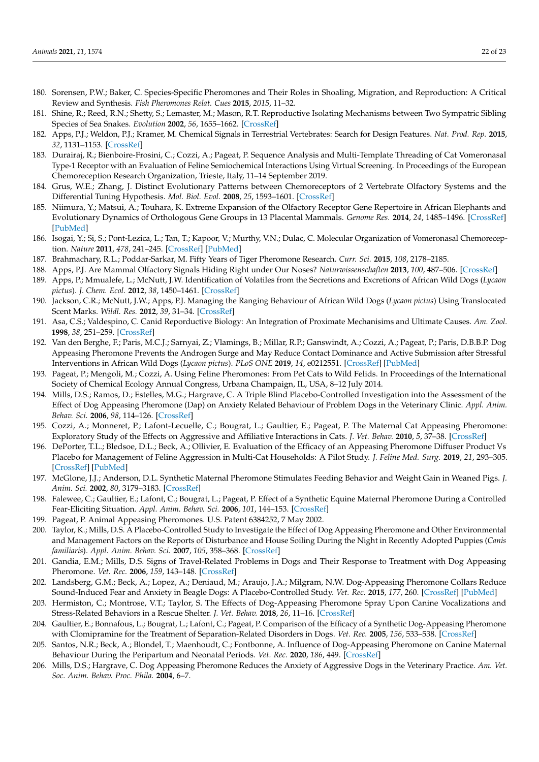- <span id="page-21-0"></span>180. Sorensen, P.W.; Baker, C. Species-Specific Pheromones and Their Roles in Shoaling, Migration, and Reproduction: A Critical Review and Synthesis. *Fish Pheromones Relat. Cues* **2015**, *2015*, 11–32.
- <span id="page-21-1"></span>181. Shine, R.; Reed, R.N.; Shetty, S.; Lemaster, M.; Mason, R.T. Reproductive Isolating Mechanisms between Two Sympatric Sibling Species of Sea Snakes. *Evolution* **2002**, *56*, 1655–1662. [\[CrossRef\]](http://doi.org/10.1111/j.0014-3820.2002.tb01477.x)
- <span id="page-21-2"></span>182. Apps, P.J.; Weldon, P.J.; Kramer, M. Chemical Signals in Terrestrial Vertebrates: Search for Design Features. *Nat. Prod. Rep.* **2015**, *32*, 1131–1153. [\[CrossRef\]](http://doi.org/10.1039/C5NP00029G)
- <span id="page-21-3"></span>183. Durairaj, R.; Bienboire-Frosini, C.; Cozzi, A.; Pageat, P. Sequence Analysis and Multi-Template Threading of Cat Vomeronasal Type-1 Receptor with an Evaluation of Feline Semiochemical Interactions Using Virtual Screening. In Proceedings of the European Chemoreception Research Organization, Trieste, Italy, 11–14 September 2019.
- <span id="page-21-4"></span>184. Grus, W.E.; Zhang, J. Distinct Evolutionary Patterns between Chemoreceptors of 2 Vertebrate Olfactory Systems and the Differential Tuning Hypothesis. *Mol. Biol. Evol.* **2008**, *25*, 1593–1601. [\[CrossRef\]](http://doi.org/10.1093/molbev/msn107)
- 185. Niimura, Y.; Matsui, A.; Touhara, K. Extreme Expansion of the Olfactory Receptor Gene Repertoire in African Elephants and Evolutionary Dynamics of Orthologous Gene Groups in 13 Placental Mammals. *Genome Res.* **2014**, *24*, 1485–1496. [\[CrossRef\]](http://doi.org/10.1101/gr.169532.113) [\[PubMed\]](http://www.ncbi.nlm.nih.gov/pubmed/25053675)
- <span id="page-21-5"></span>186. Isogai, Y.; Si, S.; Pont-Lezica, L.; Tan, T.; Kapoor, V.; Murthy, V.N.; Dulac, C. Molecular Organization of Vomeronasal Chemoreception. *Nature* **2011**, *478*, 241–245. [\[CrossRef\]](http://doi.org/10.1038/nature10437) [\[PubMed\]](http://www.ncbi.nlm.nih.gov/pubmed/21937988)
- <span id="page-21-6"></span>187. Brahmachary, R.L.; Poddar-Sarkar, M. Fifty Years of Tiger Pheromone Research. *Curr. Sci.* **2015**, *108*, 2178–2185.
- <span id="page-21-23"></span>188. Apps, P.J. Are Mammal Olfactory Signals Hiding Right under Our Noses? *Naturwissenschaften* **2013**, *100*, 487–506. [\[CrossRef\]](http://doi.org/10.1007/s00114-013-1054-1)
- <span id="page-21-7"></span>189. Apps, P.; Mmualefe, L.; McNutt, J.W. Identification of Volatiles from the Secretions and Excretions of African Wild Dogs (*Lycaon pictus*). *J. Chem. Ecol.* **2012**, *38*, 1450–1461. [\[CrossRef\]](http://doi.org/10.1007/s10886-012-0206-7)
- <span id="page-21-8"></span>190. Jackson, C.R.; McNutt, J.W.; Apps, P.J. Managing the Ranging Behaviour of African Wild Dogs (*Lycaon pictus*) Using Translocated Scent Marks. *Wildl. Res.* **2012**, *39*, 31–34. [\[CrossRef\]](http://doi.org/10.1071/WR11070)
- <span id="page-21-9"></span>191. Asa, C.S.; Valdespino, C. Canid Reporductive Biology: An Integration of Proximate Mechanisims and Ultimate Causes. *Am. Zool.* **1998**, *38*, 251–259. [\[CrossRef\]](http://doi.org/10.1093/icb/38.1.251)
- <span id="page-21-10"></span>192. Van den Berghe, F.; Paris, M.C.J.; Sarnyai, Z.; Vlamings, B.; Millar, R.P.; Ganswindt, A.; Cozzi, A.; Pageat, P.; Paris, D.B.B.P. Dog Appeasing Pheromone Prevents the Androgen Surge and May Reduce Contact Dominance and Active Submission after Stressful Interventions in African Wild Dogs (*Lycaon pictus*). *PLoS ONE* **2019**, *14*, e0212551. [\[CrossRef\]](http://doi.org/10.1371/journal.pone.0212551) [\[PubMed\]](http://www.ncbi.nlm.nih.gov/pubmed/30917139)
- <span id="page-21-11"></span>193. Pageat, P.; Mengoli, M.; Cozzi, A. Using Feline Pheromones: From Pet Cats to Wild Felids. In Proceedings of the International Society of Chemical Ecology Annual Congress, Urbana Champaign, IL, USA, 8–12 July 2014.
- <span id="page-21-12"></span>194. Mills, D.S.; Ramos, D.; Estelles, M.G.; Hargrave, C. A Triple Blind Placebo-Controlled Investigation into the Assessment of the Effect of Dog Appeasing Pheromone (Dap) on Anxiety Related Behaviour of Problem Dogs in the Veterinary Clinic. *Appl. Anim. Behav. Sci.* **2006**, *98*, 114–126. [\[CrossRef\]](http://doi.org/10.1016/j.applanim.2005.08.012)
- 195. Cozzi, A.; Monneret, P.; Lafont-Lecuelle, C.; Bougrat, L.; Gaultier, E.; Pageat, P. The Maternal Cat Appeasing Pheromone: Exploratory Study of the Effects on Aggressive and Affiliative Interactions in Cats. *J. Vet. Behav.* **2010**, *5*, 37–38. [\[CrossRef\]](http://doi.org/10.1016/j.jveb.2009.10.014)
- 196. DePorter, T.L.; Bledsoe, D.L.; Beck, A.; Ollivier, E. Evaluation of the Efficacy of an Appeasing Pheromone Diffuser Product Vs Placebo for Management of Feline Aggression in Multi-Cat Households: A Pilot Study. *J. Feline Med. Surg.* **2019**, *21*, 293–305. [\[CrossRef\]](http://doi.org/10.1177/1098612X18774437) [\[PubMed\]](http://www.ncbi.nlm.nih.gov/pubmed/29757071)
- <span id="page-21-14"></span>197. McGlone, J.J.; Anderson, D.L. Synthetic Maternal Pheromone Stimulates Feeding Behavior and Weight Gain in Weaned Pigs. *J. Anim. Sci.* **2002**, *80*, 3179–3183. [\[CrossRef\]](http://doi.org/10.2527/2002.80123179x)
- <span id="page-21-13"></span>198. Falewee, C.; Gaultier, E.; Lafont, C.; Bougrat, L.; Pageat, P. Effect of a Synthetic Equine Maternal Pheromone During a Controlled Fear-Eliciting Situation. *Appl. Anim. Behav. Sci.* **2006**, *101*, 144–153. [\[CrossRef\]](http://doi.org/10.1016/j.applanim.2006.01.008)
- <span id="page-21-15"></span>199. Pageat, P. Animal Appeasing Pheromones. U.S. Patent 6384252, 7 May 2002.
- <span id="page-21-16"></span>200. Taylor, K.; Mills, D.S. A Placebo-Controlled Study to Investigate the Effect of Dog Appeasing Pheromone and Other Environmental and Management Factors on the Reports of Disturbance and House Soiling During the Night in Recently Adopted Puppies (*Canis familiaris*). *Appl. Anim. Behav. Sci.* **2007**, *105*, 358–368. [\[CrossRef\]](http://doi.org/10.1016/j.applanim.2006.11.003)
- <span id="page-21-17"></span>201. Gandia, E.M.; Mills, D.S. Signs of Travel-Related Problems in Dogs and Their Response to Treatment with Dog Appeasing Pheromone. *Vet. Rec.* **2006**, *159*, 143–148. [\[CrossRef\]](http://doi.org/10.1136/vr.159.5.143)
- <span id="page-21-20"></span>202. Landsberg, G.M.; Beck, A.; Lopez, A.; Deniaud, M.; Araujo, J.A.; Milgram, N.W. Dog-Appeasing Pheromone Collars Reduce Sound-Induced Fear and Anxiety in Beagle Dogs: A Placebo-Controlled Study. *Vet. Rec.* **2015**, *177*, 260. [\[CrossRef\]](http://doi.org/10.1136/vr.103172) [\[PubMed\]](http://www.ncbi.nlm.nih.gov/pubmed/26311736)
- <span id="page-21-18"></span>203. Hermiston, C.; Montrose, V.T.; Taylor, S. The Effects of Dog-Appeasing Pheromone Spray Upon Canine Vocalizations and Stress-Related Behaviors in a Rescue Shelter. *J. Vet. Behav.* **2018**, *26*, 11–16. [\[CrossRef\]](http://doi.org/10.1016/j.jveb.2018.03.013)
- <span id="page-21-19"></span>204. Gaultier, E.; Bonnafous, L.; Bougrat, L.; Lafont, C.; Pageat, P. Comparison of the Efficacy of a Synthetic Dog-Appeasing Pheromone with Clomipramine for the Treatment of Separation-Related Disorders in Dogs. *Vet. Rec.* **2005**, *156*, 533–538. [\[CrossRef\]](http://doi.org/10.1136/vr.156.17.533)
- <span id="page-21-21"></span>205. Santos, N.R.; Beck, A.; Blondel, T.; Maenhoudt, C.; Fontbonne, A. Influence of Dog-Appeasing Pheromone on Canine Maternal Behaviour During the Peripartum and Neonatal Periods. *Vet. Rec.* **2020**, *186*, 449. [\[CrossRef\]](http://doi.org/10.1136/vr.105603)
- <span id="page-21-22"></span>206. Mills, D.S.; Hargrave, C. Dog Appeasing Pheromone Reduces the Anxiety of Aggressive Dogs in the Veterinary Practice. *Am. Vet. Soc. Anim. Behav. Proc. Phila.* **2004**, 6–7.